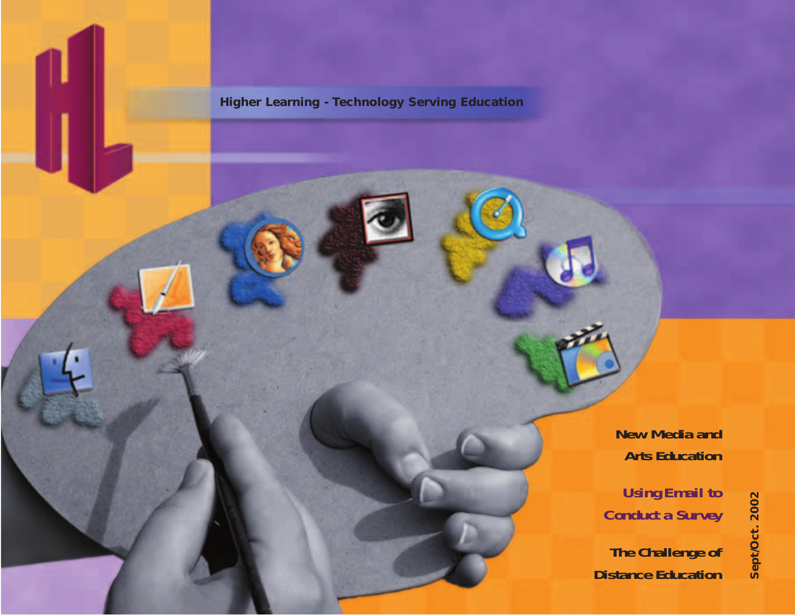**Higher Learning - Technology Serving Education**

**[New Media and](#page-18-0)  Arts Education**

*Using Email to [Conduct a Survey](#page-10-0)*

**[The Challenge of](#page-22-0)  Distance Education**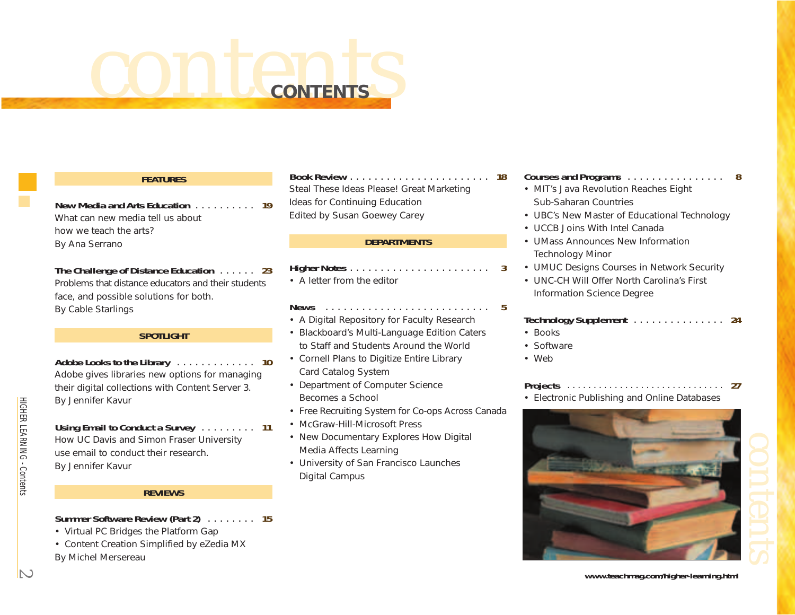# <span id="page-1-0"></span>*contents* **CONTENTS**

# **FEATURES**

**[New Media and Arts Education](#page-18-0)** . . . . . . . . . . **19** What can new media tell us about how we teach the arts? *By Ana Serrano* 

**[The Challenge of Distance Education](#page-22-0)** . . . . . . **23** Problems that distance educators and their students face, and possible solutions for both. *By Cable Starlings*

# **SPOTLIGHT**

**Adobe Looks to the Library** . . . . . . . . . . . . . **10** [Adobe gives libraries new options for managing](#page-9-0) their digital collections with Content Server 3. *By Jennifer Kavur*

# **Using Email to Conduct a Survey** . . . . . . . . . **11** [How UC Davis and Simon Fraser University](#page-10-0)  use email to conduct their research. *By Jennifer Kavur*

# **REVIEWS**

# **Summer Software Review (Part 2)** . . . . . . . . **15**

- Virtual PC Bridges the Platform Gap
- [Content Creation Simplified by eZedia MX](#page-14-0) *By Michel Mersereau*

# **Book Review** . . . . . . . . . . . . . . . . . . . . . . . **18** [Steal These Ideas Please! Great Marketing](#page-17-0)  Ideas for Continuing Education *Edited by Susan Goewey Carey*

# **DEPARTMENTS**

**Higher Notes** . . . . . . . . . . . . . . . . . . . . . . . **3** • A [letter from the editor](#page-2-0)

# **News** . . . . . . . . . . . . . . . . . . . . . . . . . . . **5**

- A Digital Repository for Faculty Research
- Blackboard's Multi-Language Edition Caters to Staff and Students Around the World
- Cornell Plans to Digitize Entire Library Card Catalog System
- Department of Computer Science Becomes a School
- [Free Recruiting System for Co-ops Across Canada](#page-4-0)
- McGraw-Hill-Microsoft Press
- New Documentary Explores How Digital Media Affects Learning
- University of San Francisco Launches Digital Campus

# **Courses and Programs** . . . . . . . . . . . . . . . . **8**

- MIT's Java Revolution Reaches Eight Sub-Saharan Countries
- [UBC's New Master of Educational Technology](#page-7-0)
- UCCB Joins With Intel Canada
- UMass Announces New Information Technology Minor
- UMUC Designs Courses in Network Security
- UNC-CH Will Offer North Carolina's First Information Science Degree

# **[Technology Supplement](#page-23-0)** . . . . . . . . . . . . . . . **24**

- Books
- •Software
- Web

# **Projects** . . . . . . . . . . . . . . . . . . . . . . . . . . . . . . **27**

• [Electronic Publishing and Online Databases](#page-26-0)



*<www.teachmag.com/higher-learning.html>*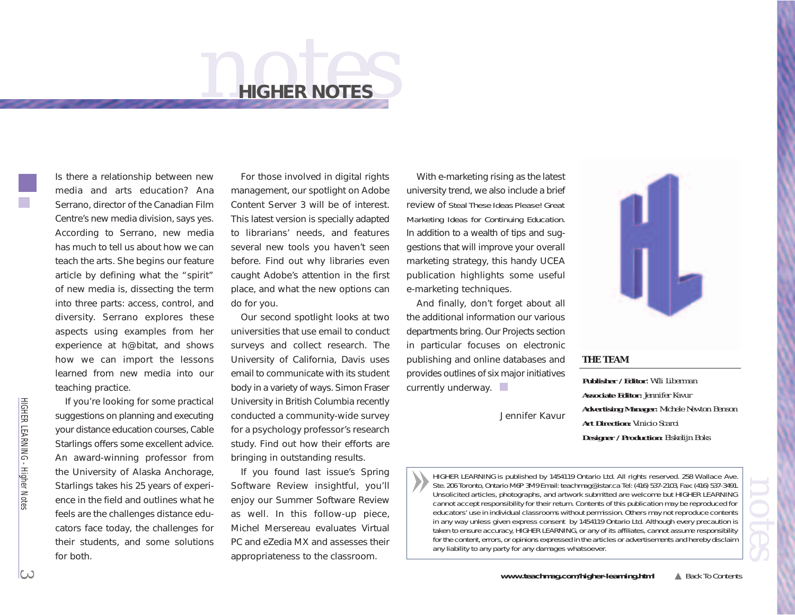# *notes* **HIGHER NOTES**

<span id="page-2-0"></span>Is there a relationship between new media and arts education? Ana Serrano, director of the Canadian Film Centre's new media division, says yes. According to Serrano, new media has much to tell us about how we can teach the arts. She begins our feature article by defining what the "spirit" of new media is, dissecting the term into three parts: access, control, and diversity. Serrano explores these aspects using examples from her experience at h@bitat, and shows how we can import the lessons learned from new media into our teaching practice.

If you're looking for some practical suggestions on planning and executing your distance education courses, Cable Starlings offers some excellent advice. An award-winning professor from the University of Alaska Anchorage, Starlings takes his 25 years of experience in the field and outlines what he feels are the challenges distance educators face today, the challenges for their students, and some solutions for both.

For those involved in digital rights management, our spotlight on Adobe Content Server 3 will be of interest. This latest version is specially adapted to librarians' needs, and features several new tools you haven't seen before. Find out why libraries even caught Adobe's attention in the first place, and what the new options can do for you.

Our second spotlight looks at two universities that use email to conduct surveys and collect research. The University of California, Davis uses email to communicate with its student body in a variety of ways. Simon Fraser University in British Columbia recently conducted a community-wide survey for a psychology professor's research study. Find out how their efforts are bringing in outstanding results.

If you found last issue's Spring Software Review insightful, you'll enjoy our Summer Software Review as well. In this follow-up piece, Michel Mersereau evaluates Virtual PC and eZedia MX and assesses their appropriateness to the classroom.

With e-marketing rising as the latest university trend, we also include a brief review of *Steal These Ideas Please! Great Marketing Ideas for Continuing Education.* In addition to a wealth of tips and suggestions that will improve your overall marketing strategy, this handy UCEA publication highlights some useful e-marketing techniques.

And finally, don't forget about all the additional information our various departments bring. Our Projects section in particular focuses on electronic publishing and online databases and provides outlines of six major initiatives currently underway.

*Jennifer Kavur*



# **THE TEAM**

**Publisher / Editor**: *Wili Liberman* **Associate Editor:** *Jennifer Kavur* **Advertising Manager:** *Michele Newton Benson* **Art Direction:** *Vinicio Scarci* **Designer / Production***: Elskelijn Boks*

*HIGHER LEARNING is published by 1454119 Ontario Ltd. All rights reserved. 258 Wallace Ave.* Unsolicited articles, photographs, and artwork submitted are welcome but HIGHER LEARNING<br>cannot accept responsibility for their return. Contents of this publication may be reproduced for<br>educators' use in individual classr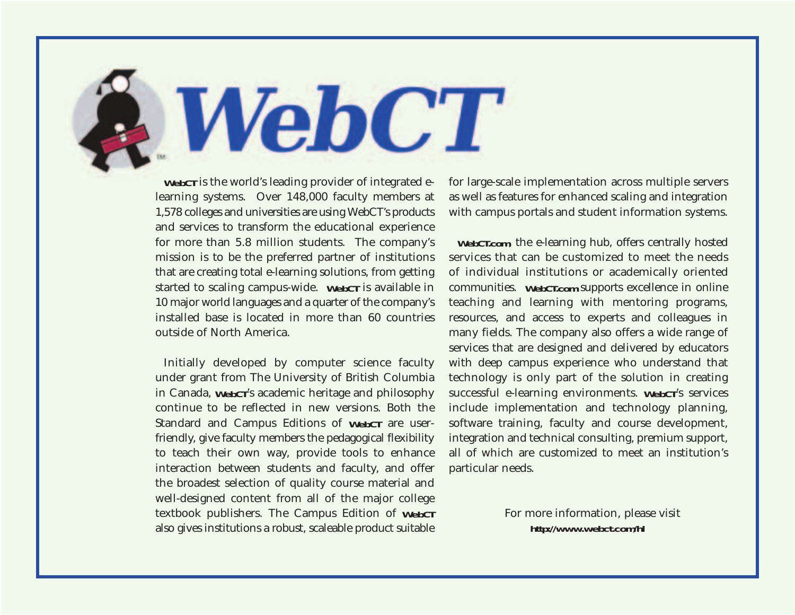**WebCT** is the world's leading provider of integrated elearning systems. Over 148,000 faculty members at 1,578 colleges and universities are using WebCT's products and services to transform the educational experience for more than 5.8 million students. The company's mission is to be the preferred partner of institutions that are creating total e-learning solutions, from getting started to scaling campus-wide. **WebCT** is available in 10 major world languages and a quarter of the company's installed base is located in more than 60 countries outside of North America.

**WebCT** 

Initially developed by computer science faculty under grant from The University of British Columbia in Canada, **WebCT**'s academic heritage and philosophy continue to be reflected in new versions. Both the Standard and Campus Editions of **WebCT** are userfriendly, give faculty members the pedagogical flexibility to teach their own way, provide tools to enhance interaction between students and faculty, and offer the broadest selection of quality course material and well-designed content from all of the major college textbook publishers. The Campus Edition of **WebCT** also gives institutions a robust, scaleable product suitable

for large-scale implementation across multiple servers as well as features for enhanced scaling and integration with campus portals and student information systems.

**WebCT.com**, the e-learning hub, offers centrally hosted services that can be customized to meet the needs of individual institutions or academically oriented communities. **WebCT.com** supports excellence in online teaching and learning with mentoring programs, resources, and access to experts and colleagues in many fields. The company also offers a wide range of services that are designed and delivered by educators with deep campus experience who understand that technology is only part of the solution in creating successful e-learning environments. **WebCT**'s services include implementation and technology planning, software training, faculty and course development, integration and technical consulting, premium support, all of which are customized to meet an institution's particular needs.

> For more information, please visit *<http://www.webct.com/hl>*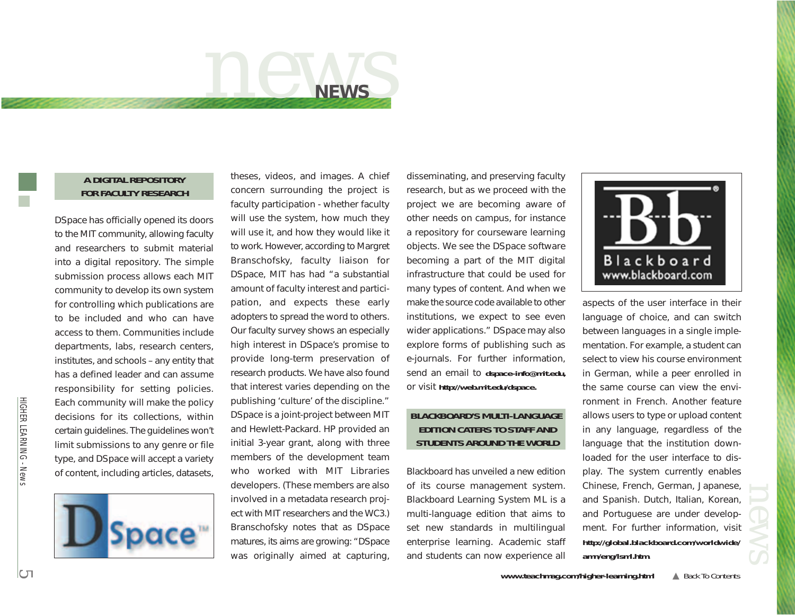

# <span id="page-4-0"></span>**A DIGITAL REPOSITORY FOR FACULTY RESEARCH**

DSpace has officially opened its doors to the MIT community, allowing faculty and researchers to submit material into a digital repository. The simple submission process allows each MIT community to develop its own system for controlling which publications are to be included and who can have access to them. Communities include departments, labs, research centers, institutes, and schools – any entity that has a defined leader and can assume responsibility for setting policies. Each community will make the policy decisions for its collections, within certain guidelines. The guidelines won't limit submissions to any genre or file type, and DSpace will accept a variety of content, including articles, datasets,



theses, videos, and images. A chief concern surrounding the project is faculty participation - whether faculty will use the system, how much they will use it, and how they would like it to work. However, according to Margret Branschofsky, faculty liaison for DSpace, MIT has had "a substantial amount of faculty interest and participation, and expects these early adopters to spread the word to others. Our faculty survey shows an especially high interest in DSpace's promise to provide long-term preservation of research products. We have also found that interest varies depending on the publishing 'culture' of the discipline." DSpace is a joint-project between MIT and Hewlett-Packard. HP provided an initial 3-year grant, along with three members of the development team who worked with MIT Libraries developers. (These members are also involved in a metadata research project with MIT researchers and the WC3.) Branschofsky notes that as DSpace matures, its aims are growing: "DSpace was originally aimed at capturing,

disseminating, and preserving faculty research, but as we proceed with the project we are becoming aware of other needs on campus, for instance a repository for courseware learning objects. We see the DSpace software becoming a part of the MIT digital infrastructure that could be used for many types of content. And when we make the source code available to other institutions, we expect to see even wider applications." DSpace may also explore forms of publishing such as e-journals. For further information, send an email to *dspace-info@mit.edu,* or visit *[http://web.mit.edu/dspace.](http://web.mit.edu/dspace)* 

# **BLACKBOARD'S MULTI-LANGUAGE EDITION CATERS TO STAFF AND STUDENTS AROUND THE WORLD**

Blackboard has unveiled a new edition of its course management system. Blackboard Learning System ML is a multi-language edition that aims to set new standards in multilingual enterprise learning. Academic staff and students can now experience all



aspects of the user interface in their language of choice, and can switch between languages in a single implementation. For example, a student can select to view his course environment in German, while a peer enrolled in the same course can view the environment in French. Another feature allows users to type or upload content in any language, regardless of the language that the institution downloaded for the user interface to display. The system currently enables Chinese, French, German, Japanese, and Spanish. Dutch, Italian, Korean, and Portuguese are under development. For further information, visit *[http://global.blackboard.com/worldwide/](http://global.blackboard.com/worldwide/amn/eng/lsml.htm) amn/eng/lsml.htm.*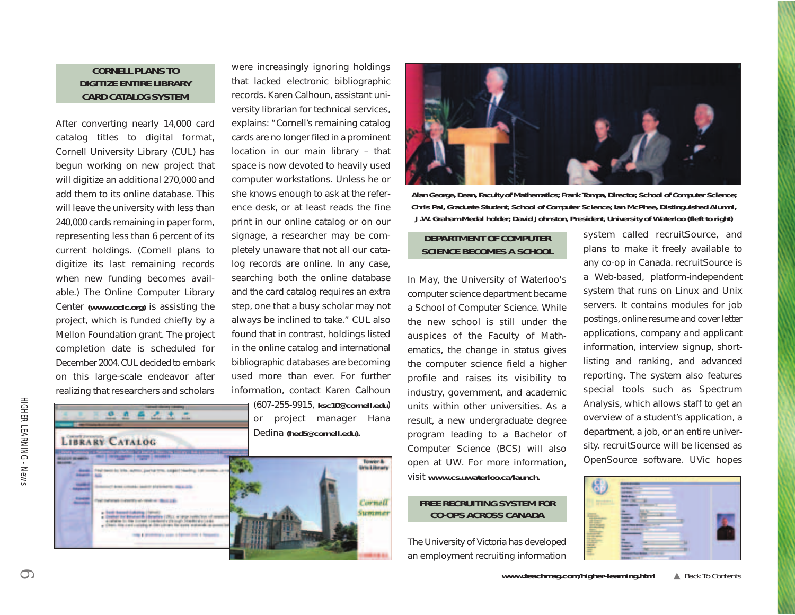# **CORNELL PLANS TO DIGITIZE ENTIRE LIBRARY CARD CATALOG SYSTEM**

After converting nearly 14,000 card catalog titles to digital format, Cornell University Library (CUL) has begun working on new project that will digitize an additional 270,000 and add them to its online database. This will leave the university with less than 240,000 cards remaining in paper form, representing less than 6 percent of its current holdings. (Cornell plans to digitize its last remaining records when new funding becomes available.) The Online Computer Library Center *[\(www.oclc.org\)](www.oclc.org)* is assisting the project, which is funded chiefly by a Mellon Foundation grant. The project completion date is scheduled for December 2004. CUL decided to embark on this large-scale endeavor after realizing that researchers and scholars

 $\mathcal{L}$ 

→ →

 $\mathfrak{a}$   $\mathfrak{n}$ 

LIBRARY CATALOG

were increasingly ignoring holdings that lacked electronic bibliographic records. Karen Calhoun, assistant university librarian for technical services, explains: "Cornell's remaining catalog cards are no longer filed in a prominent location in our main library – that space is now devoted to heavily used computer workstations. Unless he or she knows enough to ask at the reference desk, or at least reads the fine print in our online catalog or on our signage, a researcher may be completely unaware that not all our catalog records are online. In any case, searching both the online database and the card catalog requires an extra step, one that a busy scholar may not always be inclined to take." CUL also found that in contrast, holdings listed in the online catalog and international bibliographic databases are becoming used more than ever. For further information, contact Karen Calhoun (607-255-9915, *ksc10@cornell.edu*)

or project manager Hana Dedina *(hed5@cornell.edu).* 





**Alan George, Dean, Faculty of Mathematics; Frank Tompa, Director, School of Computer Science; Chris Pal, Graduate Student, School of Computer Science; Ian McPhee, Distinguished Alumni, J.W. Graham Medal holder; David Johnston, President, University of Waterloo (fleft to right)**

# **DEPARTMENT OF COMPUTER SCIENCE BECOMES A SCHOOL**

In May, the University of Waterloo's computer science department became a School of Computer Science. While the new school is still under the auspices of the Faculty of Mathematics, the change in status gives the computer science field a higher profile and raises its visibility to industry, government, and academic units within other universities. As a result, a new undergraduate degree program leading to a Bachelor of Computer Science (BCS) will also open at UW. For more information, visit *[www.cs.uwaterloo.ca/launch.](www.cs.uwaterloo.ca/launch)*

# **FREE RECRUITING SYSTEM FOR CO-OPS ACROSS CANADA**

The University of Victoria has developed an employment recruiting information system called recruitSource, and plans to make it freely available to any co-op in Canada. recruitSource is a Web-based, platform-independent system that runs on Linux and Unix servers. It contains modules for job postings, online resume and cover letter applications, company and applicant information, interview signup, shortlisting and ranking, and advanced reporting. The system also features special tools such as Spectrum Analysis, which allows staff to get an overview of a student's application, a department, a job, or an entire university. recruitSource will be licensed as OpenSource software. UVic hopes

| × |        |  |
|---|--------|--|
|   | ٠      |  |
|   |        |  |
|   |        |  |
|   |        |  |
|   |        |  |
|   | ٠      |  |
| E | ٠<br>۰ |  |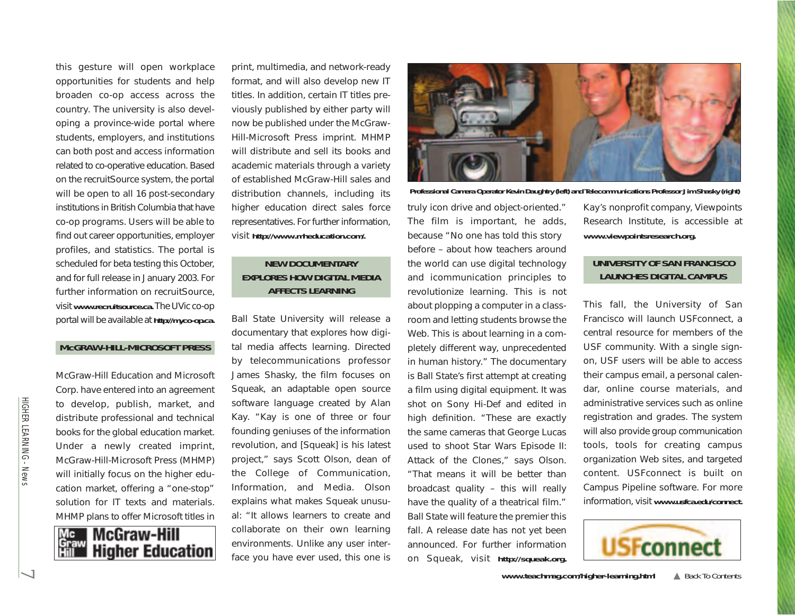this gesture will open workplace opportunities for students and help broaden co-op access across the country. The university is also developing a province-wide portal where students, employers, and institutions can both post and access information related to co-operative education. Based on the recruitSource system, the portal will be open to all 16 post-secondary institutions in British Columbia that have co-op programs. Users will be able to find out career opportunities, employer profiles, and statistics. The portal is scheduled for beta testing this October, and for full release in January 2003. For further information on recruitSource, visit *[www.recruitsource.ca.](www.recruitsource.ca)* The UVic co-op portal will be available at *[http://myco-op.ca.](http://myco-op.ca)* 

## **McGRAW-HILL-MICROSOFT PRESS**

McGraw-Hill Education and Microsoft Corp. have entered into an agreement to develop, publish, market, and distribute professional and technical books for the global education market. Under a newly created imprint, McGraw-Hill-Microsoft Press (MHMP) will initially focus on the higher education market, offering a "one-stop" solution for IT texts and materials. MHMP plans to offer Microsoft titles in



print, multimedia, and network-ready format, and will also develop new IT titles. In addition, certain IT titles previously published by either party will now be published under the McGraw-Hill-Microsoft Press imprint. MHMP will distribute and sell its books and academic materials through a variety of established McGraw-Hill sales and distribution channels, including its higher education direct sales force [representatives. For further infor](http://www.mheducation.com/.)mation, visit *http://www.mheducation.com/.*

# **NEW DOCUMENTARY EXPLORES HOW DIGITAL MEDIA AFFECTS LEARNING**

Ball State University will release a documentary that explores how digital media affects learning. Directed by telecommunications professor James Shasky, the film focuses on Squeak, an adaptable open source software language created by Alan Kay. "Kay is one of three or four founding geniuses of the information revolution, and [Squeak] is his latest project," says Scott Olson, dean of the College of Communication, Information, and Media. Olson explains what makes Squeak unusual: "It allows learners to create and collaborate on their own learning environments. Unlike any user interface you have ever used, this one is



**Professional Camera Operator Kevin Daughtry (left) and Telecommunications Professor Jim Shasky (right)**

truly icon drive and object-oriented." The film is important, he adds, because "No one has told this story before – about how teachers around the world can use digital technology and icommunication principles to revolutionize learning. This is not about plopping a computer in a classroom and letting students browse the Web. This is about learning in a completely different way, unprecedented in human history." The documentary is Ball State's first attempt at creating a film using digital equipment. It was shot on Sony Hi-Def and edited in high definition. "These are exactly the same cameras that George Lucas used to shoot Star Wars Episode II: Attack of the Clones," says Olson. "That means it will be better than broadcast quality – this will really have the quality of a theatrical film." Ball State will feature the premier this fall. A release date has not yet been announced. For further information on Squeak, visit *[http://squeak.org.](http://squeak.org)*

Kay's nonprofit company, Viewpoints Research Institute, is accessible at *[www.viewpointsresearch.org.](www.viewpointsresearch.org)* 

# **UNIVERSITY OF SAN FRANCISCO LAUNCHES DIGITAL CAMPUS**

This fall, the University of San Francisco will launch USFconnect, a central resource for members of the USF community. With a single signon, USF users will be able to access their campus email, a personal calendar, online course materials, and administrative services such as online registration and grades. The system will also provide group communication tools, tools for creating campus organization Web sites, and targeted content. USFconnect is built on Campus Pipeline software. For more information, visit *[www.usfca.edu/connect.](www.usfca.edu/connect)* 

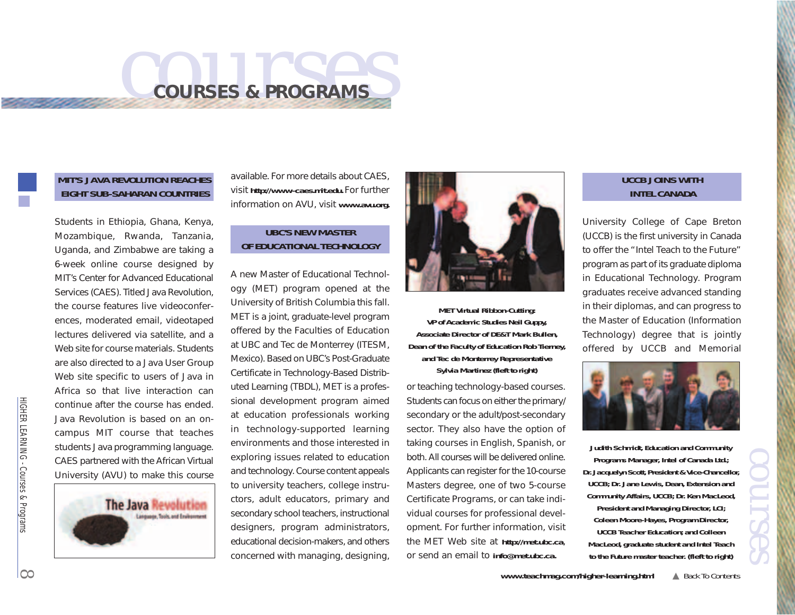# <span id="page-7-0"></span>*courses* **COURSES & PROGRAMS**

# **MIT'S JAVA REVOLUTION REACHES EIGHT SUB-SAHARAN COUNTRIES**

Students in Ethiopia, Ghana, Kenya, Mozambique, Rwanda, Tanzania, Uganda, and Zimbabwe are taking a 6-week online course designed by MIT's Center for Advanced Educational Services (CAES). Titled Java Revolution, the course features live videoconferences, moderated email, videotaped lectures delivered via satellite, and a Web site for course materials. Students are also directed to a Java User Group Web site specific to users of Java in Africa so that live interaction can continue after the course has ended. Java Revolution is based on an oncampus MIT course that teaches students Java programming language. CAES partnered with the African Virtual Universit[y](www.avu.org) [\(](www.avu.org)AVU[\)](www.avu.org) to make this course



available. For more details about CAES, visit *[http://www-caes.mit.edu.](http://www-caes.mit.edu)* For further information on AVU, visit *[www.avu.org.](www.avu.org)* 

# **UBC'S NEW MASTER OF EDUCATIONAL TECHNOLOGY**

A new Master of Educational Technology (MET) program opened at the University of British Columbia this fall. MET is a joint, graduate-level program offered by the Faculties of Education at UBC and Tec de Monterrey (ITESM, Mexico). Based on UBC's Post-Graduate Certificate in Technology-Based Distributed Learning (TBDL), MET is a professional development program aimed at education professionals working in technology-supported learning environments and those interested in exploring issues related to education and technology. Course content appeals to university teachers, college instructors, adult educators, primary and secondary school teachers, instructional designers, program administrators, educational decision-makers, and others concerned with managing, designing,



**MET Virtual Ribbon-Cutting: VP of Academic Studies Neil Guppy, Associate Director of DE&T Mark Bullen, Dean of the Faculty of Education Rob Tierney, and Tec de Monterrey Representative Sylvia Martinez (fleft to right)**

or teaching technology-based courses. Students can focus on either the primary/ secondary or the adult/post-secondary sector. They also have the option of taking courses in English, Spanish, or both. All courses will be delivered online. Applicants can register for the 10-course Masters degree, one of two 5-course Certificate Programs, or can take individual courses for professional development. For further information, visit the MET Web site at *<http://met.ubc.ca>*, or send an email to *info@met.ubc.ca.*

# **UCCB JOINS WITH INTEL CANADA**

University College of Cape Breton (UCCB) is the first university in Canada to offer the "Intel Teach to the Future" program as part of its graduate diploma in Educational Technology. Program graduates receive advanced standing in their diplomas, and can progress to the Master of Education (Information Technology) degree that is jointly offered by UCCB and Memorial



**Judith Schmidt, Education and Community Programs Manager, Intel of Canada Ltd.; Dr. Jacquelyn Scott, President & Vice-Chancellor, UCCB; Dr. Jane Lewis, Dean, Extension and Community Affairs, UCCB; Dr. Ken MacLeod, President and Managing Director, LCI; Coleen Moore-Hayes, Program Director, UCCB Teacher Education; and Colleen MacLeod, graduate student and Intel Teach to the Future master teacher. (fleft to right)**

*<www.teachmag.com/higher-learning.html>* ▲ [Back To Contents](#page-1-0)

*courses*

аŠ

÷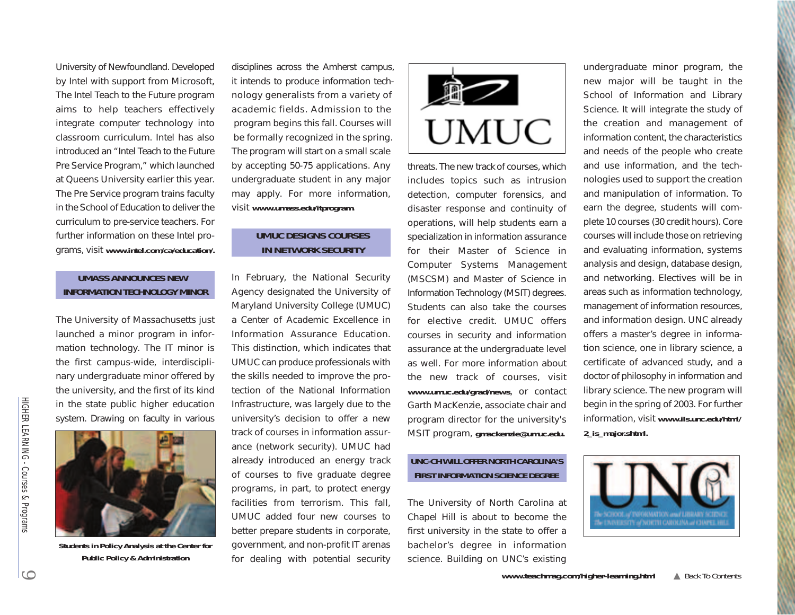University of Newfoundland. Developed by Intel with support from Microsoft, The Intel Teach to the Future program aims to help teachers effectively integrate computer technology into classroom curriculum. Intel has also introduced an "Intel Teach to the Future Pre Service Program," which launched at Queens University earlier this year. The Pre Service program trains faculty in the School of Education to deliver the curriculum to pre-service teachers. For [further information on these Intel pro](www.intel.com/ca/education)grams, visit *www.intel.com/ca/education/.*

# **UMASS ANNOUNCES NEW INFORMATION TECHNOLOGY MINOR**

The University of Massachusetts just launched a minor program in information technology. The IT minor is the first campus-wide, interdisciplinary undergraduate minor offered by the university, and the first of its kind in the state public higher education system. Drawing on faculty in various



**[Students in Policy Analysis at the Center for](www.umass.edu/itprogram)  Public Policy & Administration**

disciplines across the Amherst campus, it intends to produce information technology generalists from a variety of academic fields. Admission to the program begins this fall. Courses will be formally recognized in the spring. The program will start on a small scale by accepting 50-75 applications. Any undergraduate student in any major may apply. For more information, visit *[www.umass.edu/itprogram.](www.umass.edu/itprogram)*

# **UMUC DESIGNS COURSES IN NETWORK SECURITY**

In February, the National Security Agency designated the University of Maryland University College (UMUC) a Center of Academic Excellence in Information Assurance Education. This distinction, which indicates that UMUC can produce professionals with the skills needed to improve the protection of the National Information Infrastructure, was largely due to the university's decision to offer a new track of courses in information assurance (network security). UMUC had already introduced an energy track of courses to five graduate degree programs, in part, to protect energy facilities from terrorism. This fall, UMUC added four new courses to better prepare students in corporate, government, and non-profit IT arenas for dealing with potential security



threats. The new track of courses, which includes topics such as intrusion detection, computer forensics, and disaster response and continuity of operations, will help students earn a specialization in information assurance for their Master of Science in Computer Systems Management (MSCSM) and Master of Science in Information Technology (MSIT) degrees. Students can also take the courses for elective credit. UMUC offers courses in security and information assurance at the undergraduate level as well. For more information about the new track of courses, visit *<www.umuc.edu/grad/news>*, or contact Garth MacKenzie, associate chair and program director for the university's MSIT program, *gmackenzie@umuc.edu.*

# **UNC-CH WILL OFFER NORTH CAROLINA'S FIRST INFORMATION SCIENCE DEGREE**

The University of North Carolina at Chapel Hill is about to become the first university in the state to offer a bachelor's degree in information science. Building on UNC's existing undergraduate minor program, the new major will be taught in the School of Information and Library Science. It will integrate the study of the creation and management of information content, the characteristics and needs of the people who create and use information, and the technologies used to support the creation and manipulation of information. To earn the degree, students will complete 10 courses (30 credit hours). Core courses will include those on retrieving and evaluating information, systems analysis and design, database design, and networking. Electives will be in areas such as information technology, management of information resources, and information design. UNC already offers a master's degree in information science, one in library science, a certificate of advanced study, and a doctor of philosophy in information and library science. The new program will begin in the spring of 2003. For further information, visit *[www.ils.unc.edu/html/](www.ils.unc.edu/html/2_is_major.shtml) 2\_is\_major.shtml.* 

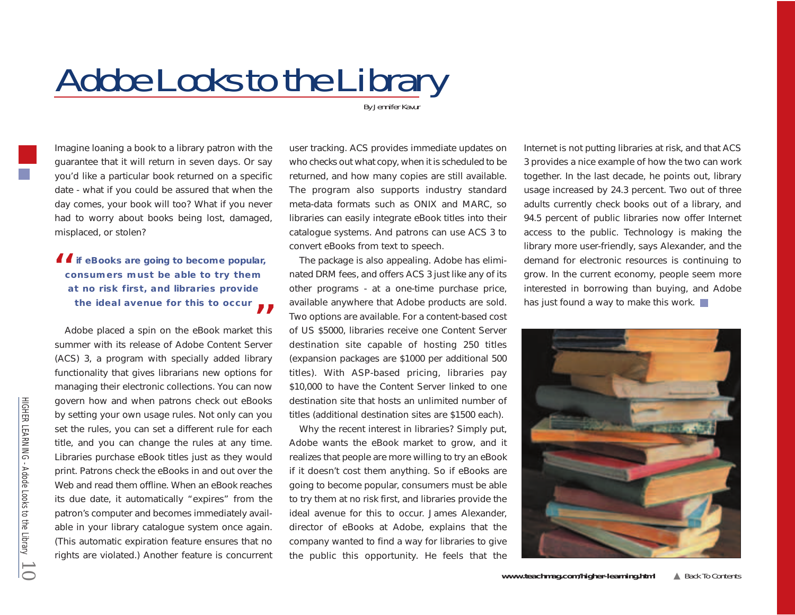# <span id="page-9-0"></span>*Adobe Looks to the Library*

*By Jennifer Kavur*

Imagine loaning a book to a library patron with the guarantee that it will return in seven days. Or say you'd like a particular book returned on a specific date - what if you could be assured that when the day comes, your book will too? What if you never had to worry about books being lost, damaged, misplaced, or stolen?

**if eBooks are going to become popular, consumers must be able to try them at no risk first, and libraries provide**  the ideal avenue for this to occur  $\blacktriangle$ 

Adobe placed a spin on the eBook market this summer with its release of Adobe Content Server (ACS) 3, a program with specially added library functionality that gives librarians new options for managing their electronic collections. You can now govern how and when patrons check out eBooks by setting your own usage rules. Not only can you set the rules, you can set a different rule for each title, and you can change the rules at any time. Libraries purchase eBook titles just as they would print. Patrons check the eBooks in and out over the Web and read them offline. When an eBook reaches its due date, it automatically "expires" from the patron's computer and becomes immediately available in your library catalogue system once again. (This automatic expiration feature ensures that no rights are violated.) Another feature is concurrent

user tracking. ACS provides immediate updates on who checks out what copy, when it is scheduled to be returned, and how many copies are still available. The program also supports industry standard meta-data formats such as ONIX and MARC, so libraries can easily integrate eBook titles into their catalogue systems. And patrons can use ACS 3 to convert eBooks from text to speech.

The package is also appealing. Adobe has eliminated DRM fees, and offers ACS 3 just like any of its other programs - at a one-time purchase price, available anywhere that Adobe products are sold. Two options are available. For a content-based cost of US \$5000, libraries receive one Content Server destination site capable of hosting 250 titles (expansion packages are \$1000 per additional 500 titles). With ASP-based pricing, libraries pay \$10,000 to have the Content Server linked to one destination site that hosts an unlimited number of titles (additional destination sites are \$1500 each).

Why the recent interest in libraries? Simply put, Adobe wants the eBook market to grow, and it realizes that people are more willing to try an eBook if it doesn't cost them anything. So if eBooks are going to become popular, consumers must be able to try them at no risk first, and libraries provide the ideal avenue for this to occur. James Alexander, director of eBooks at Adobe, explains that the company wanted to find a way for libraries to give the public this opportunity. He feels that the

Internet is not putting libraries at risk, and that ACS 3 provides a nice example of how the two can work together. In the last decade, he points out, library usage increased by 24.3 percent. Two out of three adults currently check books out of a library, and 94.5 percent of public libraries now offer Internet access to the public. Technology is making the library more user-friendly, says Alexander, and the demand for electronic resources is continuing to grow. In the current economy, people seem more interested in borrowing than buying, and Adobe has just found a way to make this work.



HIGHER LEARNING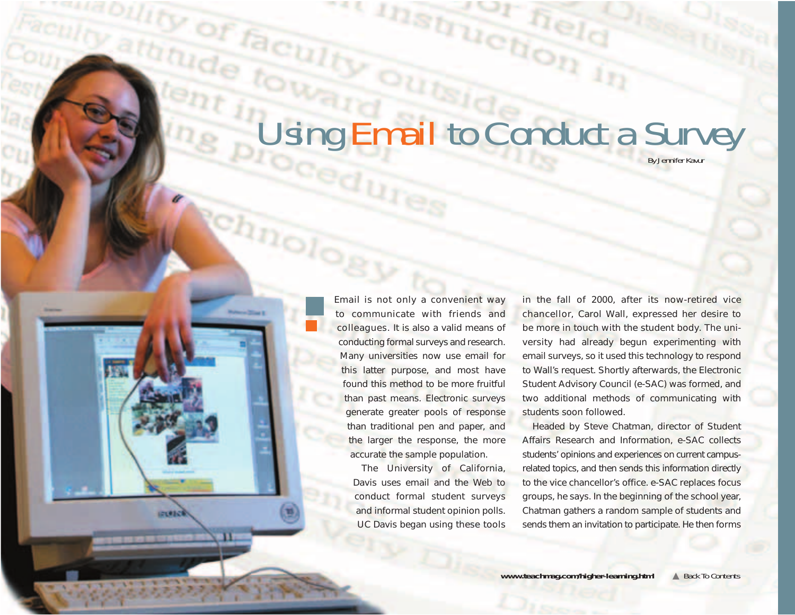# *Using Email to Conduct a Survey*

Would Indiana

*By Jennifer Kavur*

Email is not only a convenient way to communicate with friends and colleagues. It is also a valid means of conducting formal surveys and research. Many universities now use email for this latter purpose, and most have found this method to be more fruitful than past means. Electronic surveys generate greater pools of response than traditional pen and paper, and the larger the response, the more accurate the sample population.

<span id="page-10-0"></span>*Fallity of faculty* 

chnology

athfude town

**POID** 

The University of California, Davis uses email and the Web to conduct formal student surveys and informal student opinion polls. UC Davis began using these tools in the fall of 2000, after its now-retired vice chancellor, Carol Wall, expressed her desire to be more in touch with the student body. The university had already begun experimenting with email surveys, so it used this technology to respond to Wall's request. Shortly afterwards, the Electronic Student Advisory Council (e-SAC) was formed, and two additional methods of communicating with students soon followed.

Headed by Steve Chatman, director of Student Affairs Research and Information, e-SAC collects students' opinions and experiences on current campusrelated topics, and then sends this information directly to the vice chancellor's office. e-SAC replaces focus groups, he says. In the beginning of the school year, Chatman gathers a random sample of students and sends them an invitation to participate. He then forms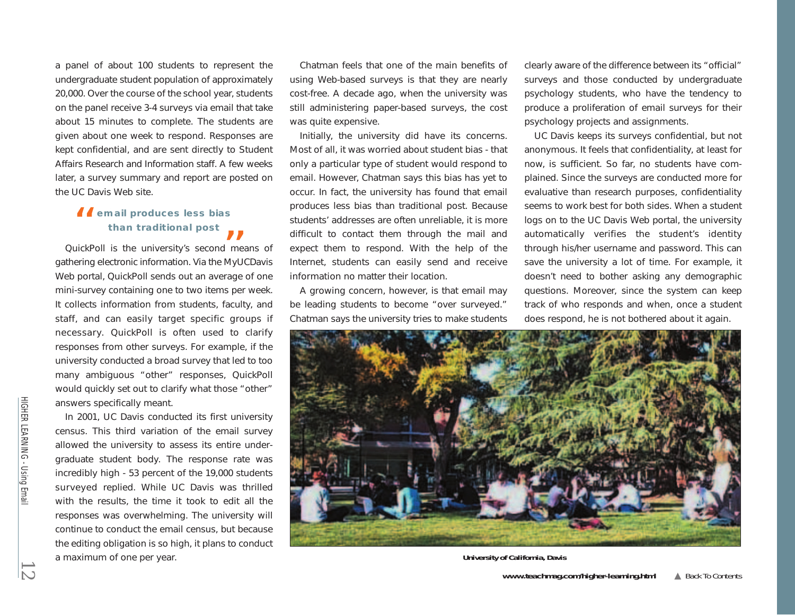a panel of about 100 students to represent the undergraduate student population of approximately 20,000. Over the course of the school year, students on the panel receive 3-4 surveys via email that take about 15 minutes to complete. The students are given about one week to respond. Responses are kept confidential, and are sent directly to Student Affairs Research and Information staff. A few weeks later, a survey summary and report are posted on the UC Davis Web site.

# **66** email produces less bias **than traditional post** "

QuickPoll is the university's second means of gathering electronic information. Via the MyUCDavis Web portal, QuickPoll sends out an average of one mini-survey containing one to two items per week. It collects information from students, faculty, and staff, and can easily target specific groups if necessary. QuickPoll is often used to clarify responses from other surveys. For example, if the university conducted a broad survey that led to too many ambiguous "other" responses, QuickPoll would quickly set out to clarify what those "other" answers specifically meant.

In 2001, UC Davis conducted its first university census. This third variation of the email survey allowed the university to assess its entire undergraduate student body. The response rate was incredibly high - 53 percent of the 19,000 students surveyed replied. While UC Davis was thrilled with the results, the time it took to edit all the responses was overwhelming. The university will continue to conduct the email census, but because the editing obligation is so high, it plans to conduct a maximum of one per year. *12***University of California, Davis**

Chatman feels that one of the main benefits of using Web-based surveys is that they are nearly cost-free. A decade ago, when the university was still administering paper-based surveys, the cost was quite expensive.

Initially, the university did have its concerns. Most of all, it was worried about student bias - that only a particular type of student would respond to email. However, Chatman says this bias has yet to occur. In fact, the university has found that email produces less bias than traditional post. Because students' addresses are often unreliable, it is more difficult to contact them through the mail and expect them to respond. With the help of the Internet, students can easily send and receive information no matter their location.

A growing concern, however, is that email may be leading students to become "over surveyed." Chatman says the university tries to make students clearly aware of the difference between its "official" surveys and those conducted by undergraduate psychology students, who have the tendency to produce a proliferation of email surveys for their psychology projects and assignments.

UC Davis keeps its surveys confidential, but not anonymous. It feels that confidentiality, at least for now, is sufficient. So far, no students have complained. Since the surveys are conducted more for evaluative than research purposes, confidentiality seems to work best for both sides. When a student logs on to the UC Davis Web portal, the university automatically verifies the student's identity through his/her username and password. This can save the university a lot of time. For example, it doesn't need to bother asking any demographic questions. Moreover, since the system can keep track of who responds and when, once a student does respond, he is not bothered about it again.

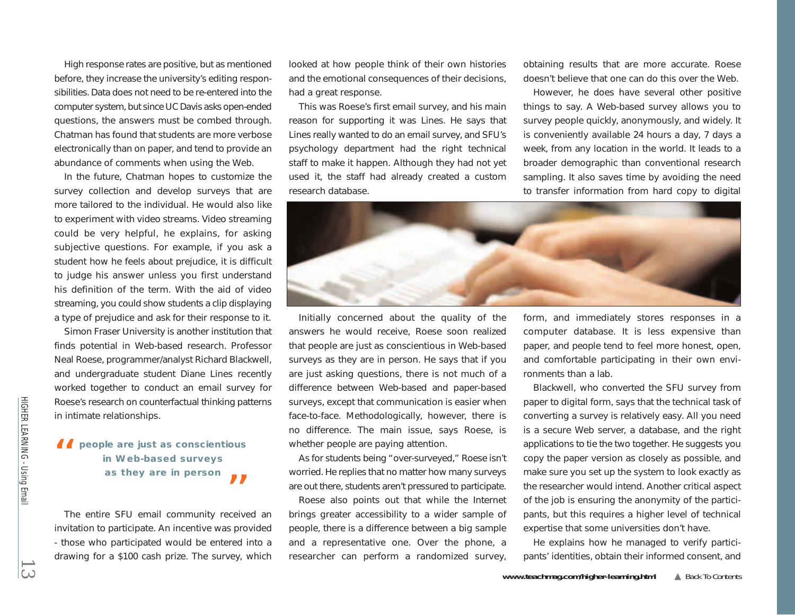High response rates are positive, but as mentioned before, they increase the university's editing responsibilities. Data does not need to be re-entered into the computer system, but since UC Davis asks open-ended questions, the answers must be combed through. Chatman has found that students are more verbose electronically than on paper, and tend to provide an abundance of comments when using the Web.

In the future, Chatman hopes to customize the survey collection and develop surveys that are more tailored to the individual. He would also like to experiment with video streams. Video streaming could be very helpful, he explains, for asking subjective questions. For example, if you ask a student how he feels about prejudice, it is difficult to judge his answer unless you first understand his definition of the term. With the aid of video streaming, you could show students a clip displaying a type of prejudice and ask for their response to it.

Simon Fraser University is another institution that finds potential in Web-based research. Professor Neal Roese, programmer/analyst Richard Blackwell, and undergraduate student Diane Lines recently worked together to conduct an email survey for Roese's research on counterfactual thinking patterns in intimate relationships.

# **people are just as conscientious in Web-based surveys as they are in person**

The entire SFU email community received an invitation to participate. An incentive was provided - those who participated would be entered into a drawing for a \$100 cash prize. The survey, which looked at how people think of their own histories and the emotional consequences of their decisions, had a great response.

This was Roese's first email survey, and his main reason for supporting it was Lines. He says that Lines really wanted to do an email survey, and SFU's psychology department had the right technical staff to make it happen. Although they had not yet used it, the staff had already created a custom research database.

obtaining results that are more accurate. Roese doesn't believe that one can do this over the Web.

However, he does have several other positive things to say. A Web-based survey allows you to survey people quickly, anonymously, and widely. It is conveniently available 24 hours a day, 7 days a week, from any location in the world. It leads to a broader demographic than conventional research sampling. It also saves time by avoiding the need to transfer information from hard copy to digital



Initially concerned about the quality of the answers he would receive, Roese soon realized that people are just as conscientious in Web-based surveys as they are in person. He says that if you are just asking questions, there is not much of a difference between Web-based and paper-based surveys, except that communication is easier when face-to-face. Methodologically, however, there is no difference. The main issue, says Roese, is whether people are paying attention.

As for students being "over-surveyed," Roese isn't worried. He replies that no matter how many surveys are out there, students aren't pressured to participate.

Roese also points out that while the Internet brings greater accessibility to a wider sample of people, there is a difference between a big sample and a representative one. Over the phone, a researcher can perform a randomized survey, form, and immediately stores responses in a computer database. It is less expensive than paper, and people tend to feel more honest, open, and comfortable participating in their own environments than a lab.

Blackwell, who converted the SFU survey from paper to digital form, says that the technical task of converting a survey is relatively easy. All you need is a secure Web server, a database, and the right applications to tie the two together. He suggests you copy the paper version as closely as possible, and make sure you set up the system to look exactly as the researcher would intend. Another critical aspect of the job is ensuring the anonymity of the participants, but this requires a higher level of technical expertise that some universities don't have. **13**<br> **13** Comple are just as conscientious whether people are paying attention. The empleased surveys and as they are in person as they are in person as they are in person as they are in person as they are in person as t

He explains how he managed to verify participants' identities, obtain their informed consent, and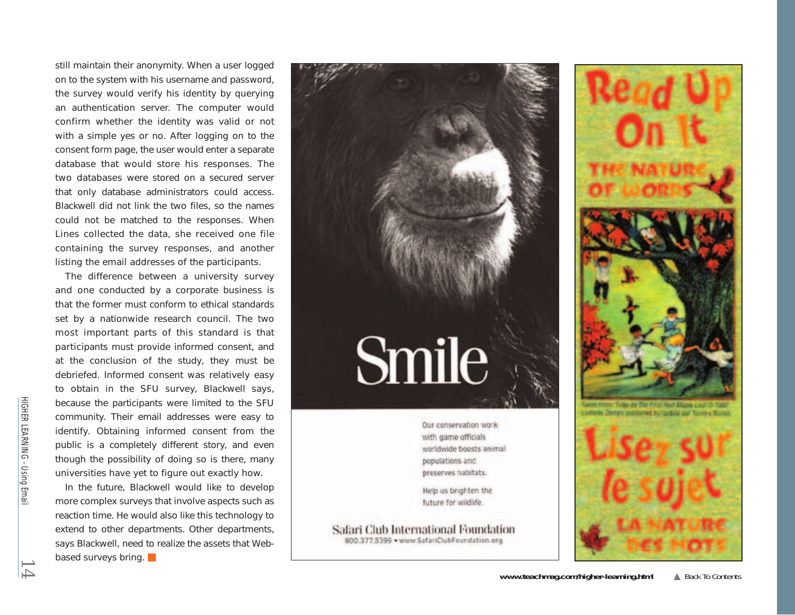still maintain their anonymity. When a user logged on to the system with his username and password, the survey would verify his identity by querying an authentication server. The computer would confirm whether the identity was valid or not with a simple yes or no. After logging on to the consent form page, the user would enter a separate database that would store his responses. The two databases were stored on a secured server that only database administrators could access. Blackwell did not link the two files, so the names could not be matched to the responses. When Lines collected the data, she received one file containing the survey responses, and another listing the email addresses of the participants.

The difference between a university survey and one conducted by a corporate business is that the former must conform to ethical standards set by a nationwide research council. The two most important parts of this standard is that participants must provide informed consent, and at the conclusion of the study, they must be debriefed. Informed consent was relatively easy to obtain in the SFU survey, Blackwell says, because the participants were limited to the SFU community. Their email addresses were easy to identify. Obtaining informed consent from the public is a completely different story, and even though the possibility of doing so is there, many universities have yet to figure out exactly how.

In the future, Blackwell would like to develop more complex surveys that involve aspects such as reaction time. He would also like this technology to extend to other departments. Other departments, says Blackwell, need to realize the assets that Webbased surveys bring.



with game officials worldwide boosts animal populations and preserves habitats.

Help us brighten the future for wildlife.

Safari Club International Foundation 800.377.5399 . www.SafariClubFoundation.org





HIGHER LEARNING -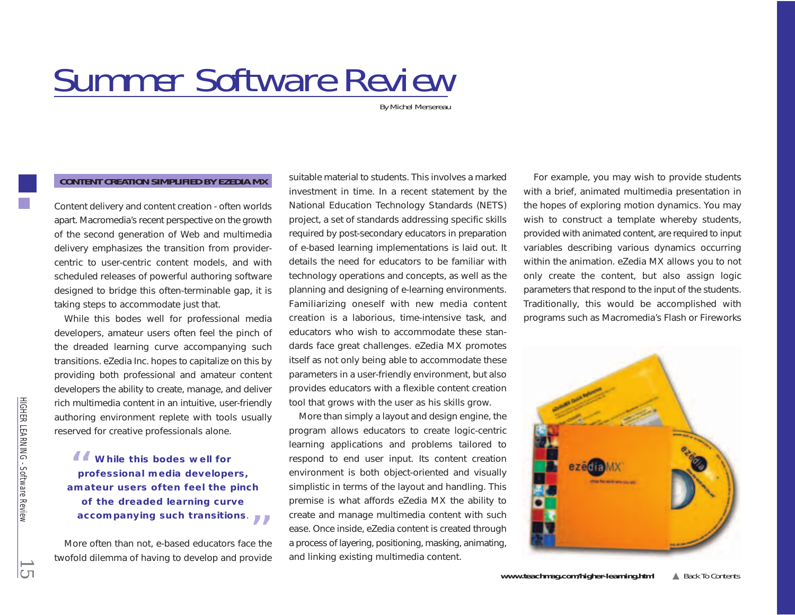# <span id="page-14-0"></span>*Summer Software Review*

*By Michel Mersereau*

# **CONTENT CREATION SIMPLIFIED BY EZEDIA MX**

Content delivery and content creation - often worlds apart. Macromedia's recent perspective on the growth of the second generation of Web and multimedia delivery emphasizes the transition from providercentric to user-centric content models, and with scheduled releases of powerful authoring software designed to bridge this often-terminable gap, it is taking steps to accommodate just that.

While this bodes well for professional media developers, amateur users often feel the pinch of the dreaded learning curve accompanying such transitions. eZedia Inc. hopes to capitalize on this by providing both professional and amateur content developers the ability to create, manage, and deliver rich multimedia content in an intuitive, user-friendly authoring environment replete with tools usually reserved for creative professionals alone.

**While this bodes well for professional media developers, amateur users often feel the pinch of the dreaded learning curve accompanying such transitions**. ""

More often than not, e-based educators face the twofold dilemma of having to develop and provide suitable material to students. This involves a marked investment in time. In a recent statement by the National Education Technology Standards (NETS) project, a set of standards addressing specific skills required by post-secondary educators in preparation of e-based learning implementations is laid out. It details the need for educators to be familiar with technology operations and concepts, as well as the planning and designing of e-learning environments. Familiarizing oneself with new media content creation is a laborious, time-intensive task, and educators who wish to accommodate these standards face great challenges. eZedia MX promotes itself as not only being able to accommodate these parameters in a user-friendly environment, but also provides educators with a flexible content creation tool that grows with the user as his skills grow.

More than simply a layout and design engine, the program allows educators to create logic-centric learning applications and problems tailored to respond to end user input. Its content creation environment is both object-oriented and visually simplistic in terms of the layout and handling. This premise is what affords eZedia MX the ability to create and manage multimedia content with such ease. Once inside, eZedia content is created through a process of layering, positioning, masking, animating, and linking existing multimedia content.

For example, you may wish to provide students with a brief, animated multimedia presentation in the hopes of exploring motion dynamics. You may wish to construct a template whereby students, provided with animated content, are required to input variables describing various dynamics occurring within the animation. eZedia MX allows you to not only create the content, but also assign logic parameters that respond to the input of the students. Traditionally, this would be accomplished with programs such as Macromedia's Flash or Fireworks



HIGHER LEARNING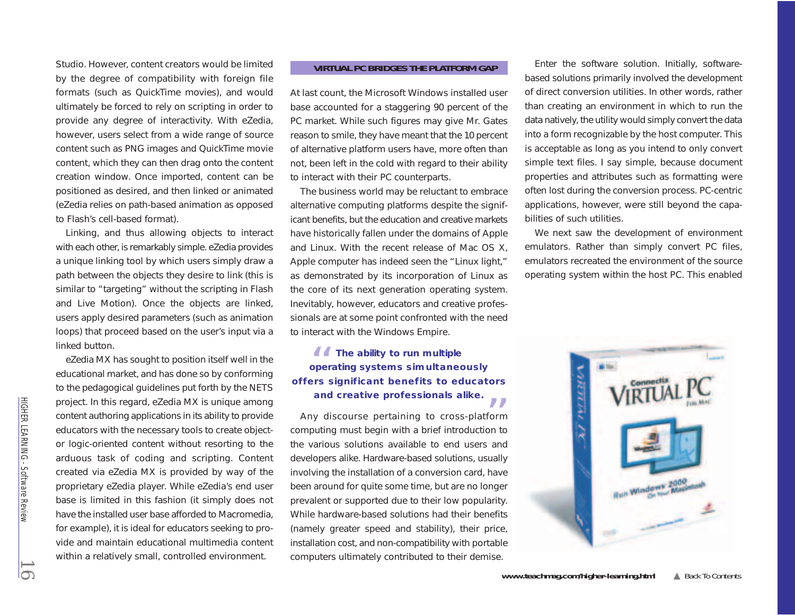Studio. However, content creators would be limited by the degree of compatibility with foreign file formats (such as QuickTime movies), and would ultimately be forced to rely on scripting in order to provide any degree of interactivity. With eZedia, however, users select from a wide range of source content such as PNG images and QuickTime movie content, which they can then drag onto the content creation window. Once imported, content can be positioned as desired, and then linked or animated (eZedia relies on path-based animation as opposed to Flash's cell-based format).

Linking, and thus allowing objects to interact with each other, is remarkably simple. eZedia provides a unique linking tool by which users simply draw a path between the objects they desire to link (this is similar to "targeting" without the scripting in Flash and Live Motion). Once the objects are linked, users apply desired parameters (such as animation loops) that proceed based on the user's input via a linked button.

eZedia MX has sought to position itself well in the educational market, and has done so by conforming to the pedagogical guidelines put forth by the NETS project. In this regard, eZedia MX is unique among content authoring applications in its ability to provide educators with the necessary tools to create objector logic-oriented content without resorting to the arduous task of coding and scripting. Content created via eZedia MX is provided by way of the proprietary eZedia player. While eZedia's end user base is limited in this fashion (it simply does not have the installed user base afforded to Macromedia, for example), it is ideal for educators seeking to provide and maintain educational multimedia content within a relatively small, controlled environment.

## **VIRTUAL PC BRIDGES THE PLATFORM GAP**

At last count, the Microsoft Windows installed user base accounted for a staggering 90 percent of the PC market. While such figures may give Mr. Gates reason to smile, they have meant that the 10 percent of alternative platform users have, more often than not, been left in the cold with regard to their ability to interact with their PC counterparts.

The business world may be reluctant to embrace alternative computing platforms despite the significant benefits, but the education and creative markets have historically fallen under the domains of Apple and Linux. With the recent release of Mac OS X, Apple computer has indeed seen the "Linux light," as demonstrated by its incorporation of Linux as the core of its next generation operating system. Inevitably, however, educators and creative professionals are at some point confronted with the need to interact with the Windows Empire.

# **66** The ability to run multiple **operating systems simultaneously offers significant benefits to educators** and creative professionals alike.

Any discourse pertaining to cross-platform computing must begin with a brief introduction to the various solutions available to end users and developers alike. Hardware-based solutions, usually involving the installation of a conversion card, have been around for quite some time, but are no longer prevalent or supported due to their low popularity. While hardware-based solutions had their benefits (namely greater speed and stability), their price, installation cost, and non-compatibility with portable computers ultimately contributed to their demise.

Enter the software solution. Initially, softwarebased solutions primarily involved the development of direct conversion utilities. In other words, rather than creating an environment in which to run the data natively, the utility would simply convert the data into a form recognizable by the host computer. This is acceptable as long as you intend to only convert simple text files. I say simple, because document properties and attributes such as formatting were often lost during the conversion process. PC-centric applications, however, were still beyond the capabilities of such utilities.

We next saw the development of environment emulators. Rather than simply convert PC files, emulators recreated the environment of the source operating system within the host PC. This enabled



HIGHER LEARNING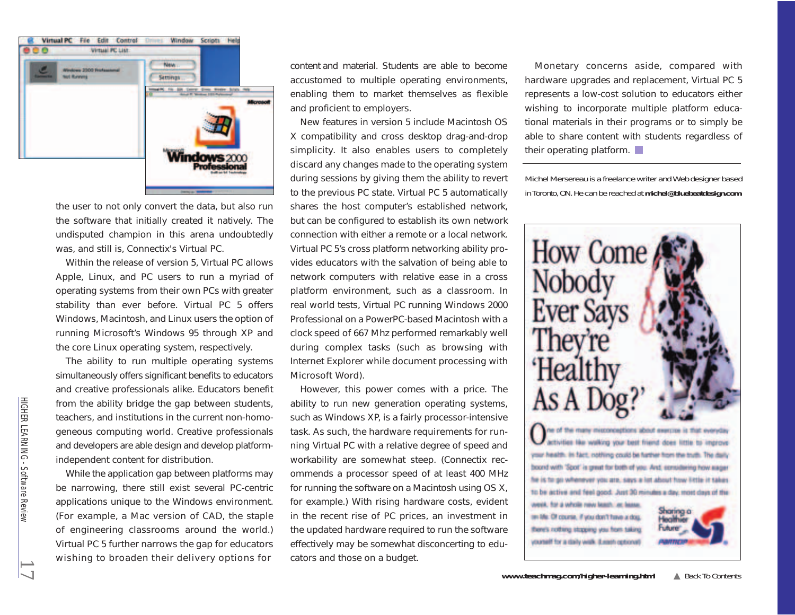

the user to not only convert the data, but also run the software that initially created it natively. The undisputed champion in this arena undoubtedly was, and still is, Connectix's Virtual PC.

Within the release of version 5, Virtual PC allows Apple, Linux, and PC users to run a myriad of operating systems from their own PCs with greater stability than ever before. Virtual PC 5 offers Windows, Macintosh, and Linux users the option of running Microsoft's Windows 95 through XP and the core Linux operating system, respectively.

The ability to run multiple operating systems simultaneously offers significant benefits to educators and creative professionals alike. Educators benefit from the ability bridge the gap between students, teachers, and institutions in the current non-homogeneous computing world. Creative professionals and developers are able design and develop platformindependent content for distribution.

While the application gap between platforms may be narrowing, there still exist several PC-centric applications unique to the Windows environment. (For example, a Mac version of CAD, the staple of engineering classrooms around the world.) Virtual PC 5 further narrows the gap for educators wishing to broaden their delivery options for

content and material. Students are able to become accustomed to multiple operating environments, enabling them to market themselves as flexible and proficient to employers.

New features in version 5 include Macintosh OS X compatibility and cross desktop drag-and-drop simplicity. It also enables users to completely discard any changes made to the operating system during sessions by giving them the ability to revert to the previous PC state. Virtual PC 5 automatically shares the host computer's established network, but can be configured to establish its own network connection with either a remote or a local network. Virtual PC 5's cross platform networking ability provides educators with the salvation of being able to network computers with relative ease in a cross platform environment, such as a classroom. In real world tests, Virtual PC running Windows 2000 Professional on a PowerPC-based Macintosh with a clock speed of 667 Mhz performed remarkably well during complex tasks (such as browsing with Internet Explorer while document processing with Microsoft Word).

However, this power comes with a price. The ability to run new generation operating systems, such as Windows XP, is a fairly processor-intensive task. As such, the hardware requirements for running Virtual PC with a relative degree of speed and workability are somewhat steep. (Connectix recommends a processor speed of at least 400 MHz for running the software on a Macintosh using OS X, for example.) With rising hardware costs, evident in the recent rise of PC prices, an investment in the updated hardware required to run the software effectively may be somewhat disconcerting to educators and those on a budget.

Monetary concerns aside, compared with hardware upgrades and replacement, Virtual PC 5 represents a low-cost solution to educators either wishing to incorporate multiple platform educational materials in their programs or to simply be able to share content with students regardless of their operating platform.

Michel Mersereau is a freelance writer and Web designer based in Toronto, ON. He can be reached at *michel@bluebeatdesign.com.*



*17*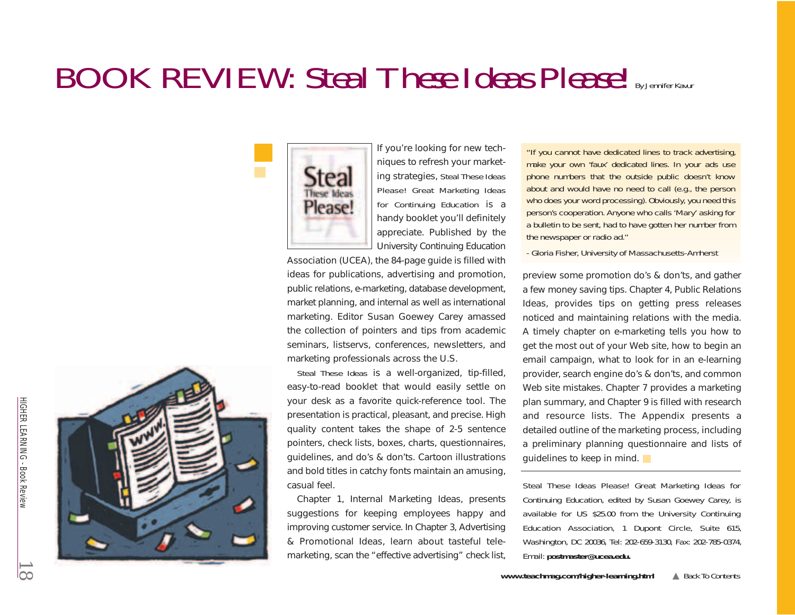# <span id="page-17-0"></span>*BOOK REVIEW: Steal These Ideas Please! By Jennifer Kavur*



If you're looking for new techniques to refresh your marketing strategies, *Steal These Ideas Please! Great Marketing Ideas for Continuing Education* is a handy booklet you'll definitely appreciate. Published by the University Continuing Education

Association (UCEA), the 84-page guide is filled with ideas for publications, advertising and promotion, public relations, e-marketing, database development, market planning, and internal as well as international marketing. Editor Susan Goewey Carey amassed the collection of pointers and tips from academic seminars, listservs, conferences, newsletters, and marketing professionals across the U.S.

*Steal These Ideas* is a well-organized, tip-filled, easy-to-read booklet that would easily settle on your desk as a favorite quick-reference tool. The presentation is practical, pleasant, and precise. High quality content takes the shape of 2-5 sentence pointers, check lists, boxes, charts, questionnaires, guidelines, and do's & don'ts. Cartoon illustrations and bold titles in catchy fonts maintain an amusing, casual feel.

Chapter 1, Internal Marketing Ideas, presents suggestions for keeping employees happy and improving customer service. In Chapter 3, Advertising & Promotional Ideas, learn about tasteful telemarketing, scan the "effective advertising" check list,

*"If you cannot have dedicated lines to track advertising, make your own 'faux' dedicated lines. In your ads use phone numbers that the outside public doesn't know about and would have no need to call (e.g., the person who does your word processing). Obviously, you need this person's cooperation. Anyone who calls 'Mary' asking for a bulletin to be sent, had to have gotten her number from the newspaper or radio ad."*

*- Gloria Fisher, University of Massachusetts-Amherst*

preview some promotion do's & don'ts, and gather a few money saving tips. Chapter 4, Public Relations Ideas, provides tips on getting press releases noticed and maintaining relations with the media. A timely chapter on e-marketing tells you how to get the most out of your Web site, how to begin an email campaign, what to look for in an e-learning provider, search engine do's & don'ts, and common Web site mistakes. Chapter 7 provides a marketing plan summary, and Chapter 9 is filled with research and resource lists. The Appendix presents a detailed outline of the marketing process, including a preliminary planning questionnaire and lists of guidelines to keep in mind.

*Steal These Ideas Please! Great Marketing Ideas for Continuing Education, edited by Susan Goewey Carey, is available for US \$25.00 from the University Continuing Education Association, 1 Dupont Circle, Suite 615, Washington, DC 20036, Tel: 202-659-3130, Fax: 202-785-0374, Email: postmaster@ucea.edu.* 

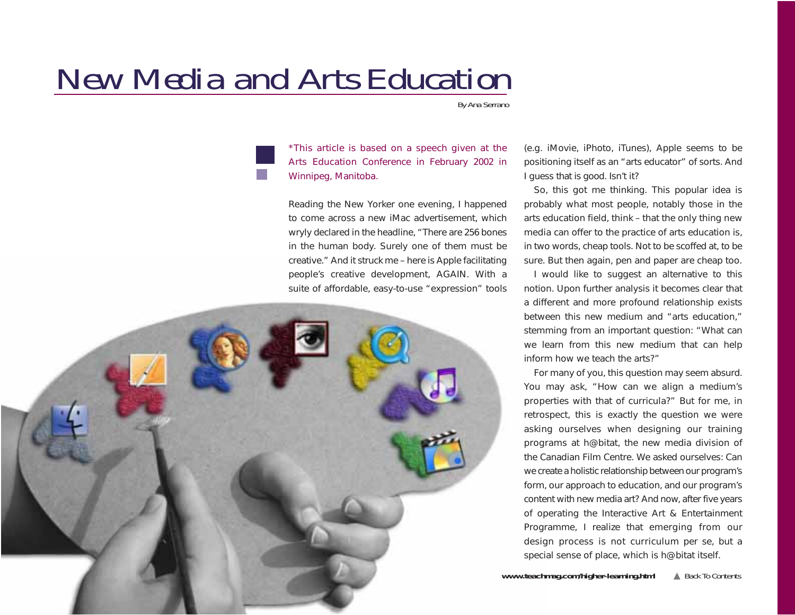# <span id="page-18-0"></span>*New Media and Arts Education*

*By Ana Serrano*

*\*This article is based on a speech given at the Arts Education Conference in February 2002 in Winnipeg, Manitoba.* 

Reading the New Yorker one evening, I happened to come across a new iMac advertisement, which wryly declared in the headline, "There are 256 bones in the human body. Surely one of them must be creative." And it struck me – here is Apple facilitating people's creative development, AGAIN. With a suite of affordable, easy-to-use "expression" tools

(e.g. iMovie, iPhoto, iTunes), Apple seems to be positioning itself as an "arts educator" of sorts. And I guess that is good. Isn't it?

So, this got me thinking. This popular idea is probably what most people, notably those in the arts education field, think – that the only thing new media can offer to the practice of arts education is, in two words, cheap tools. Not to be scoffed at, to be sure. But then again, pen and paper are cheap too.

I would like to suggest an alternative to this notion. Upon further analysis it becomes clear that a different and more profound relationship exists between this new medium and "arts education," stemming from an important question: "What can we learn from this new medium that can help inform how we teach the arts?"

For many of you, this question may seem absurd. You may ask, "How can we align a medium's properties with that of curricula?" But for me, in retrospect, this is exactly the question we were asking ourselves when designing our training programs at h@bitat, the new media division of the Canadian Film Centre. We asked ourselves: Can we create a holistic relationship between our program's form, our approach to education, and our program's content with new media art? And now, after five years of operating the Interactive Art & Entertainment Programme, I realize that emerging from our design process is not curriculum per se, but a special sense of place, which is h@bitat itself.

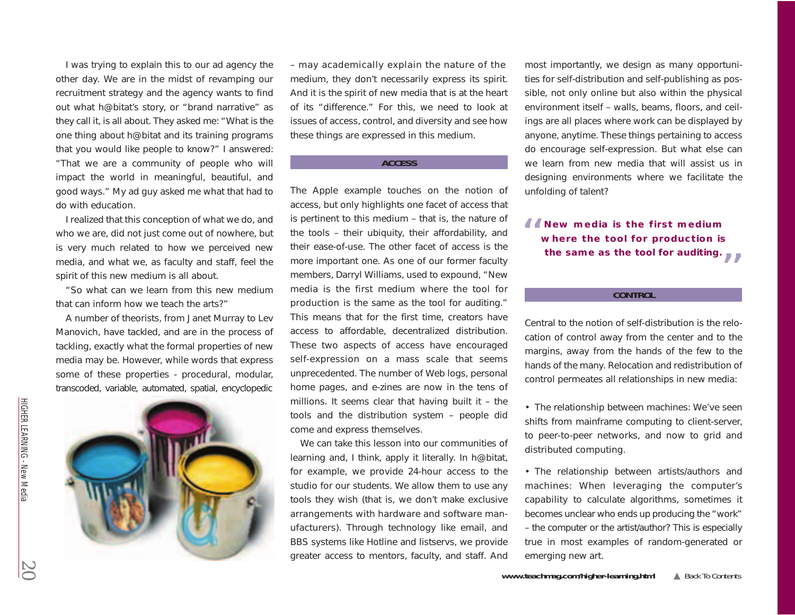I was trying to explain this to our ad agency the other day. We are in the midst of revamping our recruitment strategy and the agency wants to find out what h@bitat's story, or "brand narrative" as they call it, is all about. They asked me: "What is the one thing about h@bitat and its training programs that you would like people to know?" I answered: "That we are a community of people who will impact the world in meaningful, beautiful, and good ways." My ad guy asked me what that had to do with education.

I realized that this conception of what we do, and who we are, did not just come out of nowhere, but is very much related to how we perceived new media, and what we, as faculty and staff, feel the spirit of this new medium is all about.

"So what can we learn from this new medium that can inform how we teach the arts?"

A number of theorists, from Janet Murray to Lev Manovich, have tackled, and are in the process of tackling, exactly what the formal properties of new media may be. However, while words that express some of these properties - procedural, modular, transcoded, variable, automated, spatial, encyclopedic



– may academically explain the nature of the medium, they don't necessarily express its spirit. And it is the spirit of new media that is at the heart of its "difference." For this, we need to look at issues of access, control, and diversity and see how these things are expressed in this medium.

#### **ACCESS**

The Apple example touches on the notion of access, but only highlights one facet of access that is pertinent to this medium – that is, the nature of the tools – their ubiquity, their affordability, and their ease-of-use. The other facet of access is the more important one. As one of our former faculty members, Darryl Williams, used to expound, "New media is the first medium where the tool for production is the same as the tool for auditing." This means that for the first time, creators have access to affordable, decentralized distribution. These two aspects of access have encouraged self-expression on a mass scale that seems unprecedented. The number of Web logs, personal home pages, and e-zines are now in the tens of millions. It seems clear that having built it – the tools and the distribution system – people did come and express themselves.

We can take this lesson into our communities of learning and, I think, apply it literally. In h@bitat, for example, we provide 24-hour access to the studio for our students. We allow them to use any tools they wish (that is, we don't make exclusive arrangements with hardware and software manufacturers). Through technology like email, and BBS systems like Hotline and listservs, we provide greater access to mentors, faculty, and staff. And most importantly, we design as many opportunities for self-distribution and self-publishing as possible, not only online but also within the physical environment itself – walls, beams, floors, and ceilings are all places where work can be displayed by anyone, anytime. These things pertaining to access do encourage self-expression. But what else can we learn from new media that will assist us in designing environments where we facilitate the unfolding of talent?

# **66** New media is the first medium **where the tool for production is**  the same as the tool for auditing.

#### **CONTROL**

Central to the notion of self-distribution is the relocation of control away from the center and to the margins, away from the hands of the few to the hands of the many. Relocation and redistribution of control permeates all relationships in new media:

• The relationship between machines: We've seen shifts from mainframe computing to client-server, to peer-to-peer networks, and now to grid and distributed computing.

• The relationship between artists/authors and machines: When leveraging the computer's capability to calculate algorithms, sometimes it becomes unclear who ends up producing the "work" – the computer or the artist/author? This is especially true in most examples of random-generated or emerging new art.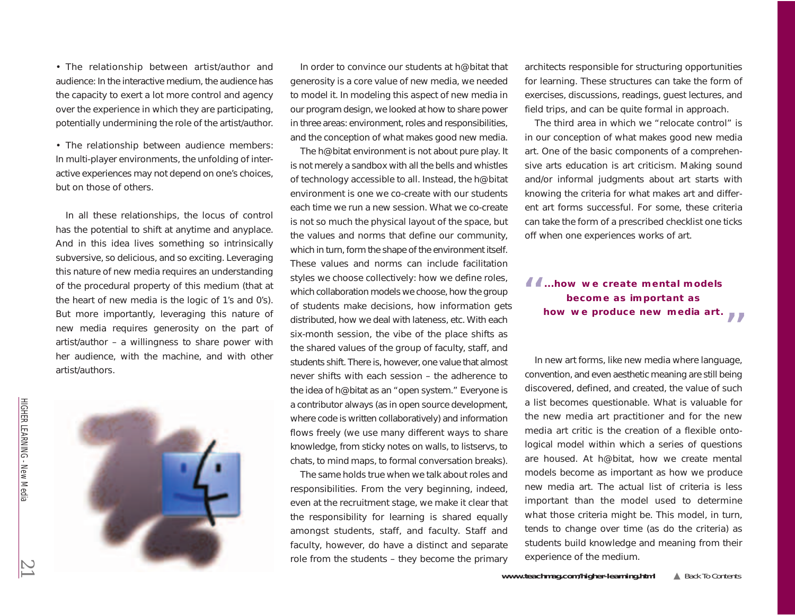• The relationship between artist/author and audience: In the interactive medium, the audience has the capacity to exert a lot more control and agency over the experience in which they are participating, potentially undermining the role of the artist/author.

• The relationship between audience members: In multi-player environments, the unfolding of interactive experiences may not depend on one's choices, but on those of others.

In all these relationships, the locus of control has the potential to shift at anytime and anyplace. And in this idea lives something so intrinsically subversive, so delicious, and so exciting. Leveraging this nature of new media requires an understanding of the procedural property of this medium (that at the heart of new media is the logic of 1's and 0's). But more importantly, leveraging this nature of new media requires generosity on the part of artist/author – a willingness to share power with her audience, with the machine, and with other artist/authors.



In order to convince our students at h@bitat that generosity is a core value of new media, we needed to model it. In modeling this aspect of new media in our program design, we looked at how to share power in three areas: environment, roles and responsibilities, and the conception of what makes good new media.

The h@bitat environment is not about pure play. It is not merely a sandbox with all the bells and whistles of technology accessible to all. Instead, the h@bitat environment is one we co-create with our students each time we run a new session. What we co-create is not so much the physical layout of the space, but the values and norms that define our community, which in turn, form the shape of the environment itself. These values and norms can include facilitation styles we choose collectively: how we define roles, which collaboration models we choose, how the group of students make decisions, how information gets distributed, how we deal with lateness, etc. With each six-month session, the vibe of the place shifts as the shared values of the group of faculty, staff, and students shift. There is, however, one value that almost never shifts with each session – the adherence to the idea of h@bitat as an "open system." Everyone is a contributor always (as in open source development, where code is written collaboratively) and information flows freely (we use many different ways to share knowledge, from sticky notes on walls, to listservs, to chats, to mind maps, to formal conversation breaks).

The same holds true when we talk about roles and responsibilities. From the very beginning, indeed, even at the recruitment stage, we make it clear that the responsibility for learning is shared equally amongst students, staff, and faculty. Staff and faculty, however, do have a distinct and separate role from the students – they become the primary architects responsible for structuring opportunities for learning. These structures can take the form of exercises, discussions, readings, guest lectures, and field trips, and can be quite formal in approach.

The third area in which we "relocate control" is in our conception of what makes good new media art. One of the basic components of a comprehensive arts education is art criticism. Making sound and/or informal judgments about art starts with knowing the criteria for what makes art and different art forms successful. For some, these criteria can take the form of a prescribed checklist one ticks off when one experiences works of art.

# **...how we create mental models** "**become as important as**  how we produce new media art.

In new art forms, like new media where language, convention, and even aesthetic meaning are still being discovered, defined, and created, the value of such a list becomes questionable. What is valuable for the new media art practitioner and for the new media art critic is the creation of a flexible ontological model within which a series of questions are housed. At h@bitat, how we create mental models become as important as how we produce new media art. The actual list of criteria is less important than the model used to determine what those criteria might be. This model, in turn, tends to change over time (as do the criteria) as students build knowledge and meaning from their experience of the medium.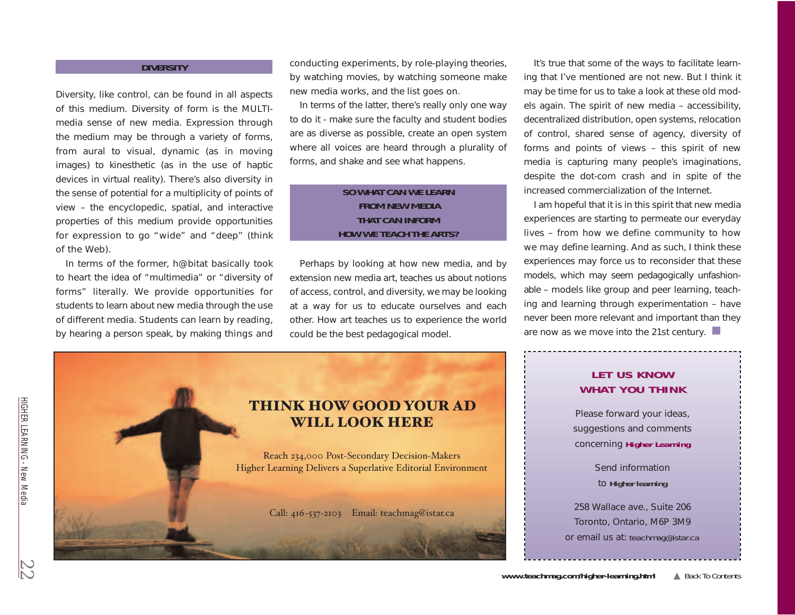## **DIVERSITY**

Diversity, like control, can be found in all aspects of this medium. Diversity of form is the MULTImedia sense of new media. Expression through the medium may be through a variety of forms, from aural to visual, dynamic (as in moving images) to kinesthetic (as in the use of haptic devices in virtual reality). There's also diversity in the sense of potential for a multiplicity of points of view – the encyclopedic, spatial, and interactive properties of this medium provide opportunities for expression to go "wide" and "deep" (think of the Web).

In terms of the former, h@bitat basically took to heart the idea of "multimedia" or "diversity of forms" literally. We provide opportunities for students to learn about new media through the use of different media. Students can learn by reading, by hearing a person speak, by making things and

conducting experiments, by role-playing theories, by watching movies, by watching someone make new media works, and the list goes on.

In terms of the latter, there's really only one way to do it - make sure the faculty and student bodies are as diverse as possible, create an open system where all voices are heard through a plurality of forms, and shake and see what happens.

# **SO WHAT CAN WE LEARN FROM NEW MEDIA THAT CAN INFORM HOW WE TEACH THE ARTS?**

Perhaps by looking at how new media, and by extension new media art, teaches us about notions of access, control, and diversity, we may be looking at a way for us to educate ourselves and each other. How art teaches us to experience the world could be the best pedagogical model.



It's true that some of the ways to facilitate learning that I've mentioned are not new. But I think it may be time for us to take a look at these old models again. The spirit of new media – accessibility, decentralized distribution, open systems, relocation of control, shared sense of agency, diversity of forms and points of views – this spirit of new media is capturing many people's imaginations, despite the dot-com crash and in spite of the increased commercialization of the Internet.

I am hopeful that it is in this spirit that new media experiences are starting to permeate our everyday lives – from how we define community to how we may define learning. And as such, I think these experiences may force us to reconsider that these models, which may seem pedagogically unfashionable – models like group and peer learning, teaching and learning through experimentation – have never been more relevant and important than they are now as we move into the 21st century.

# **LET US KNOW WHAT YOU THINK**

Please forward your ideas, suggestions and comments concerning **Higher Learning**

> Send information to **Higher learning**

258 Wallace ave., Suite 206 Toronto, Ontario, M6P 3M9 or email us at: *teachmag@istar.ca*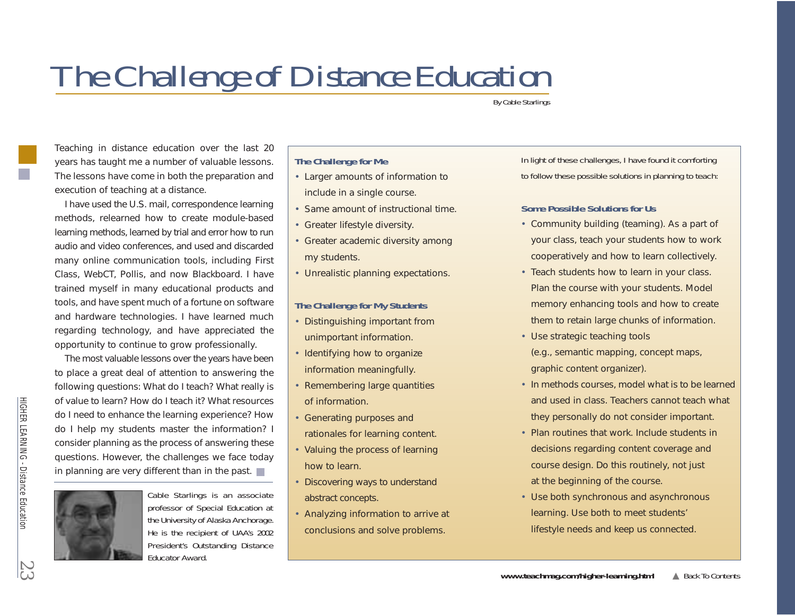# <span id="page-22-0"></span>*The Challenge of Distance Education*

*By Cable Starlings*

Teaching in distance education over the last 20 years has taught me a number of valuable lessons. The lessons have come in both the preparation and execution of teaching at a distance.

I have used the U.S. mail, correspondence learning methods, relearned how to create module-based learning methods, learned by trial and error how to run audio and video conferences, and used and discarded many online communication tools, including First Class, WebCT, Pollis, and now Blackboard. I have trained myself in many educational products and tools, and have spent much of a fortune on software and hardware technologies. I have learned much regarding technology, and have appreciated the opportunity to continue to grow professionally.

The most valuable lessons over the years have been to place a great deal of attention to answering the following questions: What do I teach? What really is of value to learn? How do I teach it? What resources do I need to enhance the learning experience? How do I help my students master the information? I consider planning as the process of answering these questions. However, the challenges we face today in planning are very different than in the past.  $\blacksquare$ 



*Cable Starlings is an associate professor of Special Education at the University of Alaska Anchorage. He is the recipient of UAA's 2002 President's Outstanding Distance Educator Award.*

# **The Challenge for Me**

- Larger amounts of information to include in a single course.
- Same amount of instructional time.
- Greater lifestyle diversity.
- Greater academic diversity among my students.
- Unrealistic planning expectations.

# **The Challenge for My Students**

- Distinguishing important from unimportant information.
- Identifying how to organize information meaningfully.
- Remembering large quantities of information.
- Generating purposes and rationales for learning content.
- Valuing the process of learning how to learn.
- Discovering ways to understand abstract concepts.
- Analyzing information to arrive at conclusions and solve problems.

*In light of these challenges, I have found it comforting to follow these possible solutions in planning to teach:* 

# **Some Possible Solutions for Us**

- Community building (teaming). As a part of your class, teach your students how to work cooperatively and how to learn collectively.
- Teach students how to learn in your class. Plan the course with your students. Model memory enhancing tools and how to create them to retain large chunks of information.
- Use strategic teaching tools (e.g., semantic mapping, concept maps, graphic content organizer).
- In methods courses, model what is to be learned and used in class. Teachers cannot teach what they personally do not consider important.
- Plan routines that work. Include students in decisions regarding content coverage and course design. Do this routinely, not just at the beginning of the course.
- Use both synchronous and asynchronous learning. Use both to meet students' lifestyle needs and keep us connected.

HIGHER LEARNING

HIGHER LEARNING - Distance Education

- Distance Education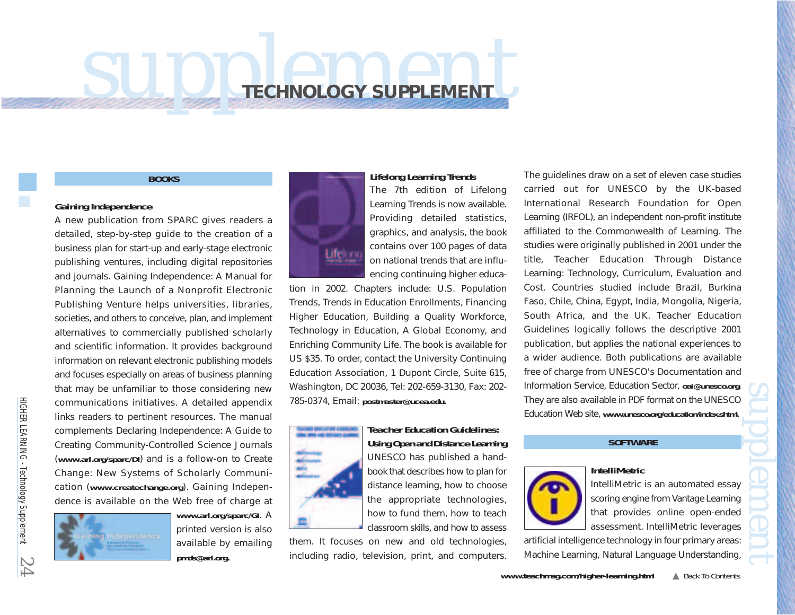# <span id="page-23-0"></span>*supplement* **TECHNOLOGY SUPPLEMENT**

#### **BOOKS**

## **Gaining Independence**

A new publication from SPARC gives readers a detailed, step-by-step guide to the creation of a business plan for start-up and early-stage electronic publishing ventures, including digital repositories and journals. *Gaining Independence: A Manual for Planning the Launch of a Nonprofit Electronic Publishing Venture* helps universities, libraries, societies, and others to conceive, plan, and implement alternatives to commercially published scholarly and scientific information. It provides background information on relevant electronic publishing models and focuses especially on areas of business planning that may be unfamiliar to those considering new communications initiatives. A detailed appendix links readers to pertinent resources. The manual complements *Declaring Independence: A Guide to Creating Community-Controlled Science Journals* (*<www.arl.org/sparc/DI>*) and is a follow-on to *Create Change: New Systems of Scholarly Communication* (*<www.createchange.org>*). *Gaining Independence* is available on the Web free of charge at



*<www.arl.org/sparc/GI>*. A printed version is also available by emailing *pmds@arl.org.*



#### **Lifelong Learning Trends**

The 7th edition of *Lifelong Learning Trends* is now available. Providing detailed statistics, graphics, and analysis, the book contains over 100 pages of data on national trends that are influencing continuing higher educa-

tion in 2002. Chapters include: U.S. Population Trends, Trends in Education Enrollments, Financing Higher Education, Building a Quality Workforce, Technology in Education, A Global Economy, and Enriching Community Life. The book is available for US \$35. To order, contact the University Continuing Education Association, 1 Dupont Circle, Suite 615, Washington, DC 20036, Tel: 202-659-3130, Fax: 202- 785-0374, Email: *postmaster@ucea.edu.*



**Teacher Education Guidelines: Using Open and Distance Learning** UNESCO has published a handbook that describes how to plan for distance learning, how to choose the appropriate technologies, how to fund them, how to teach classroom skills, and how to assess

them. It focuses on new and old technologies, including radio, television, print, and computers.

The guidelines draw on a set of eleven case studies carried out for UNESCO by the UK-based International Research Foundation for Open Learning (IRFOL), an independent non-profit institute affiliated to the Commonwealth of Learning. The studies were originally published in 2001 under the title, *Teacher Education Through Distance Learning: Technology, Curriculum, Evaluation and Cost.* Countries studied include Brazil, Burkina Faso, Chile, China, Egypt, India, Mongolia, Nigeria, South Africa, and the UK. *Teacher Education Guidelines* logically follows the descriptive 2001 publication, but applies the national experiences to a wider audience. Both publications are available free of charge from UNESCO's Documentation and Information Service, Education Sector, *oai@unesco.org*. They are also available in PDF format on the UNESCO Education Web site, *<www.unesco.org/education/index.shtml>*. *supplement*

# **SOFTWARE**

**IntelliMetric**



IntelliMetric is an automated essay scoring engine from Vantage Learning that provides online open-ended assessment. IntelliMetric leverages

artificial intelligence technology in four primary areas: Machine Learning, Natural Language Understanding,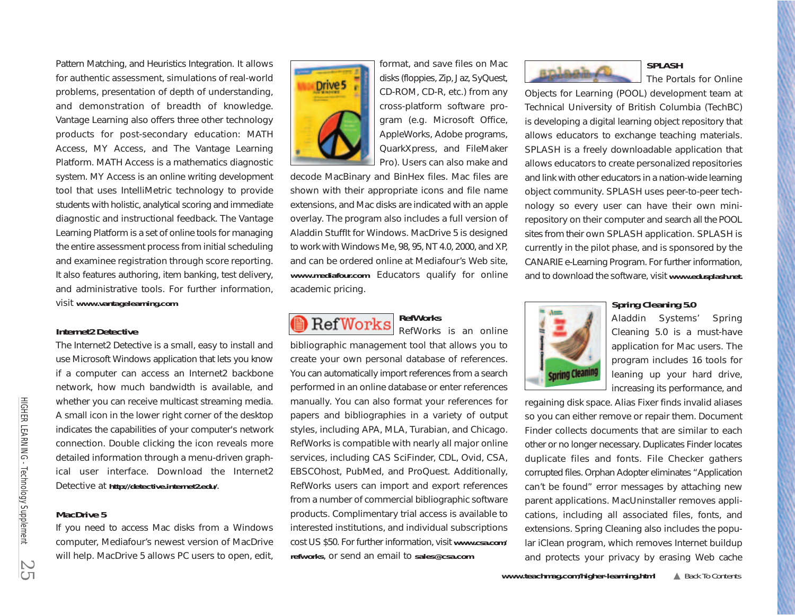Pattern Matching, and Heuristics Integration. It allows for authentic assessment, simulations of real-world problems, presentation of depth of understanding, and demonstration of breadth of knowledge. Vantage Learning also offers three other technology products for post-secondary education: MATH Access, MY Access, and The Vantage Learning Platform. MATH Access is a mathematics diagnostic system. MY Access is an online writing development tool that uses IntelliMetric technology to provide students with holistic, analytical scoring and immediate diagnostic and instructional feedback. The Vantage Learning Platform is a set of online tools for managing the entire assessment process from initial scheduling and examinee registration through score reporting. It also features authoring, item banking, test delivery, and administrative tools. For further information, visit *<www.vantagelearning.com>*.

## **Internet2 Detective**

The Internet2 Detective is a small, easy to install and use Microsoft Windows application that lets you know if a computer can access an Internet2 backbone network, how much bandwidth is available, and whether you can receive multicast streaming media. A small icon in the lower right corner of the desktop indicates the capabilities of your computer's network connection. Double clicking the icon reveals more detailed information through a menu-driven graphical user interface. Download the Internet2 Detective at *[http://detective.internet2.edu/](http://detective.internet2.edu)*.

## **MacDrive 5**

If you need to access Mac disks from a Windows computer, Mediafour's newest version of MacDrive will help. MacDrive 5 allows PC users to open, edit,



format, and save files on Mac disks (floppies, Zip, Jaz, SyQuest, CD-ROM, CD-R, etc.) from any cross-platform software program (e.g. Microsoft Office, AppleWorks, Adobe programs, QuarkXpress, and FileMaker Pro). Users can also make and

decode MacBinary and BinHex files. Mac files are shown with their appropriate icons and file name extensions, and Mac disks are indicated with an apple overlay. The program also includes a full version of Aladdin StuffIt for Windows. MacDrive 5 is designed to work with Windows Me, 98, 95, NT 4.0, 2000, and XP, and can be ordered online at Mediafour's Web site, *[www.mediafour.com](www.mediafour.com.)*. Educators qualify for online academic pricing.

**RefWorks RefWorks** RefWorks is an online

bibliographic management tool that allows you to create your own personal database of references. You can automatically import references from a search performed in an online database or enter references manually. You can also format your references for papers and bibliographies in a variety of output styles, including APA, MLA, Turabian, and Chicago. RefWorks is compatible with nearly all major online services, including CAS SciFinder, CDL, Ovid, CSA, EBSCOhost, PubMed, and ProQuest. Additionally, RefWorks users can import and export references from a number of commercial bibliographic software products. Complimentary trial access is available to interested institutions, and individual subscriptions [cost US \\$50. For further information, visit](http://www.csa.com/csa/HelpV5/refworks.shtml) *www.csa.com/ refworks*, or send an email to *sales@csa.com*.





The Portals for Online

[Objects](www.edusplash.net.) [for](www.edusplash.net.) [Learning](www.edusplash.net.) [\(POOL\)](www.edusplash.net.) development team at Technical University of British Columbia (TechBC) is developing a digital learning object repository that allows educators to exchange teaching materials. SPLASH is a freely downloadable application that allows educators to create personalized repositories and link with other educators in a nation-wide learning object community. SPLASH uses peer-to-peer technology so every user can have their own minirepository on their computer and search all the POOL sites from their own SPLASH application. SPLASH is currently in the pilot phase, and is sponsored by the CANARIE e-Learning Program. For further information, and to download the software, visit *<www.edusplash.net.>*



#### **Spring Cleaning 5.0**

Aladdin Systems' Spring Cleaning 5.0 is a must-have application for Mac users. The program includes 16 tools for leaning up your hard drive, increasing its performance, and

regaining disk space. Alias Fixer finds invalid aliases so you can either remove or repair them. Document Finder collects documents that are similar to each other or no longer necessary. Duplicates Finder locates duplicate files and fonts. File Checker gathers corrupted files. Orphan Adopter eliminates "Application can't be found" error messages by attaching new parent applications. MacUninstaller removes applications, including all associated files, fonts, and extensions. Spring Cleaning also includes the popular iClean program, which removes Internet buildup and protects your privacy by erasing Web cache

HIGHER LEARNING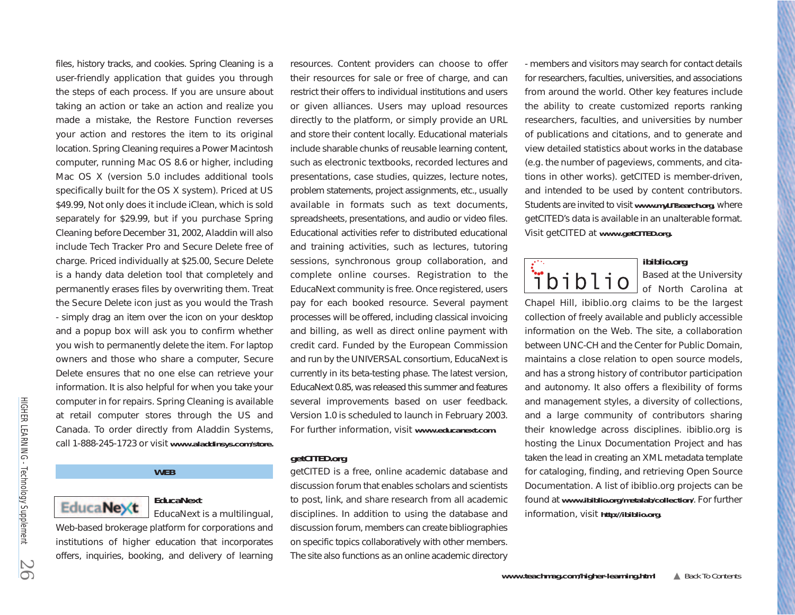files, history tracks, and cookies. Spring Cleaning is a user-friendly application that guides you through the steps of each process. If you are unsure about taking an action or take an action and realize you made a mistake, the Restore Function reverses your action and restores the item to its original location. Spring Cleaning requires a Power Macintosh computer, running Mac OS 8.6 or higher, including Mac OS X (version 5.0 includes additional tools specifically built for the OS X system). Priced at US \$49.99, Not only does it include iClean, which is sold separately for \$29.99, but if you purchase Spring Cleaning before December 31, 2002, Aladdin will also include Tech Tracker Pro and Secure Delete free of charge. Priced individually at \$25.00, Secure Delete is a handy data deletion tool that completely and permanently erases files by overwriting them. Treat the Secure Delete icon just as you would the Trash - simply drag an item over the icon on your desktop and a popup box will ask you to confirm whether you wish to permanently delete the item. For laptop owners and those who share a computer, Secure Delete ensures that no one else can retrieve your information. It is also helpful for when you take your computer in for repairs. Spring Cleaning is available at retail computer stores through the US and Canada. To order directly from Aladdin Systems, call 1-888-245-1723 or visit *[www.aladdinsys.com/store.](www.aladdinsys.com/store)*

## **WEB**



# **EducaNext**

EducaNext is a multilingual, Web-based brokerage platform for corporations and institutions of higher education that incorporates offers, inquiries, booking, and delivery of learning resources. Content providers can choose to offer their resources for sale or free of charge, and can restrict their offers to individual institutions and users or given alliances. Users may upload resources directly to the platform, or simply provide an URL and store their content locally. Educational materials include sharable chunks of reusable learning content, such as electronic textbooks, recorded lectures and presentations, case studies, quizzes, lecture notes, problem statements, project assignments, etc., usually available in formats such as text documents, spreadsheets, presentations, and audio or video files. Educational activities refer to distributed educational and training activities, such as lectures, tutoring sessions, synchronous group collaboration, and complete online courses. Registration to the EducaNext community is free. Once registered, users pay for each booked resource. Several payment processes will be offered, including classical invoicing and billing, as well as direct online payment with credit card. Funded by the European Commission and run by the UNIVERSAL consortium, EducaNext is currently in its beta-testing phase. The latest version, EducaNext 0.85, was released this summer and features several improvements based on user feedback. Version 1.0 is scheduled to launch in February 2003. For further information, visit *[www.educanext.com.](www.educanext.com)* 

## **getCITED.org**

getCITED is a free, online academic database and discussion forum that enables scholars and scientists to post, link, and share research from all academic disciplines. In addition to using the database and discussion forum, members can create bibliographies on specific topics collaboratively with other members. The site also functions as an online academic directory

- members and visitors may search for contact details for researchers, faculties, universities, and associations from around the world. Other key features include the ability to create customized reports ranking researchers, faculties, and universities by number of publications and citations, and to generate and view detailed statistics about works in the database (e.g. the number of pageviews, comments, and citations in other works). getCITED is member-driven, and intended to be used by content contributors. Students are invited to visit *<www.myLITsearch.org>*, where getCITED's data is available in an unalterable format. Visit getCITED at *[www.getCITED.org.](www.getCITED.org)*



#### **ibiblio.org**

Based at the University of North Carolina at

Chapel Hill, ibiblio.org claims to be the largest collection of freely available and publicly accessible information on the Web. The site, a collaboration between UNC-CH and the Center for Public Domain, maintains a close relation to open source models, and has a strong history of contributor participation and autonomy. It also offers a flexibility of forms and management styles, a diversity of collections, and a large community of contributors sharing their knowledge across disciplines. ibiblio.org is hosting the Linux Documentation Project and has taken the lead in creating an XML metadata template for cataloging, finding, and retrieving Open Source Documentation. A list of ibiblio.org projects can be found at *[www.ibiblio.org/metalab/collection/](www.ibiblio.org/metalab/collection)*. For further information, visit *<http://ibiblio.org>*.

HIGHER LEARNING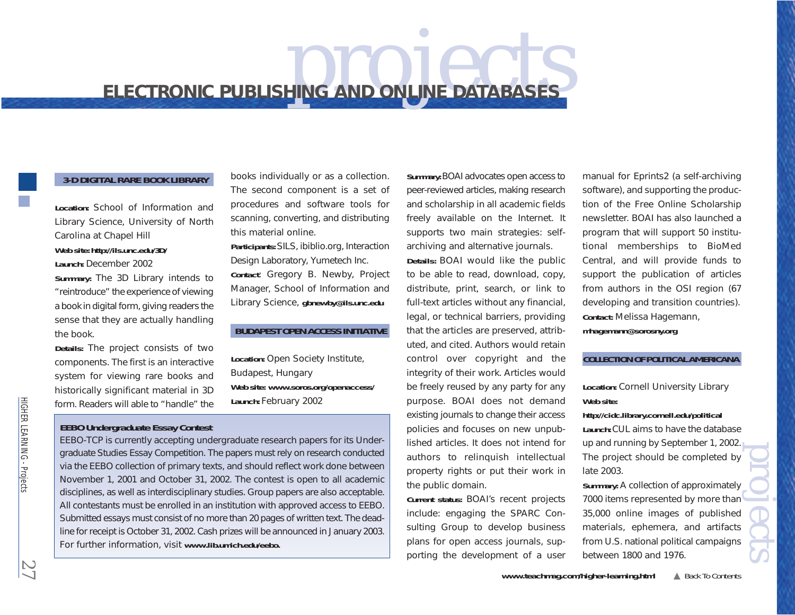# <span id="page-26-0"></span>**ELECTRONIC PUBLISHING AND ONLINE DATABASES**

## **3-D DIGITAL RARE BOOK LIBRARY**

**Location:** School of Information and Library Science, University of North Carolina at Chapel Hill **Web site:** *<http://ils.unc.edu/3D/>* **Launch:** December 2002 **Summary:** The 3D Library intends to "reintroduce" the experience of viewing a book in digital form, giving readers the sense that they are actually handling the book.

**Details:** The project consists of two components. The first is an interactive system for viewing rare books and historically significant material in 3D form. Readers will able to "handle" the

books individually or as a collection. The second component is a set of procedures and software tools for scanning, converting, and distributing this material online.

**Participants:** SILS, ibiblio.org, Interaction Design Laboratory, Yumetech Inc.

**Contact**: Gregory B. Newby, Project Manager, School of Information and Library Science, *gbnewby@ils.unc.edu* 

## **BUDAPEST OPEN ACCESS INITIATIVE**

**Location:** Open Society Institute, Budapest, Hungary **Web site:** *[www.soros.org/openaccess/](www.soros.org/openaccess)*  **Launch:** February 2002

# **EEBO Undergraduate Essay Contest**

EEBO-TCP is currently accepting undergraduate research papers for its Undergraduate Studies Essay Competition. The papers must rely on research conducted via the EEBO collection of primary texts, and should reflect work done between November 1, 2001 and October 31, 2002. The contest is open to all academic disciplines, as well as interdisciplinary studies. Group papers are also acceptable. All contestants must be enrolled in an institution with approved access to EEBO. Submitted essays must consist of no more than 20 pages of written text. The deadline for receipt is October 31[, 2002. Cash prizes will be announced in January 2003](www.lib.umich.edu/eebo). For further information, visit *[www.lib.umich.edu/eebo.](www.ilb.umich.edu)*

**Summary:** BOAI advocates open access to peer-reviewed articles, making research and scholarship in all academic fields freely available on the Internet. It supports two main strategies: selfarchiving and alternative journals.

**Details:** BOAI would like the public to be able to read, download, copy, distribute, print, search, or link to full-text articles without any financial, legal, or technical barriers, providing that the articles are preserved, attributed, and cited. Authors would retain control over copyright and the integrity of their work. Articles would be freely reused by any party for any purpose. BOAI does not demand existing journals to change their access policies and focuses on new unpublished articles. It does not intend for authors to relinquish intellectual property rights or put their work in the public domain.

**Current status:** BOAI's recent projects include: engaging the SPARC Consulting Group to develop business plans for open access journals, supporting the development of a user

manual for Eprints2 (a self-archiving software), and supporting the production of the Free Online Scholarship newsletter. BOAI has also launched a program that will support 50 institutional memberships to BioMed Central, and will provide funds to support the publication of articles from authors in the OSI region (67 developing and transition countries). **Contact:** Melissa Hagemann, *mhagemann@sorosny.org* 

# **COLLECTION OF POLITICAL AMERICANA**

**Location:** Cornell University Library **Web site:**

*<http://cidc.library.cornell.edu/political>* **Launch:** CUL aims to have the database up and running by September 1, 2002. The project should be completed by late 2003.

**Summary:** A collection of approximately 7000 items represented by more than 35,000 online images of published materials, ephemera, and artifacts from U.S. national political campaigns between 1800 and 1976. *projects*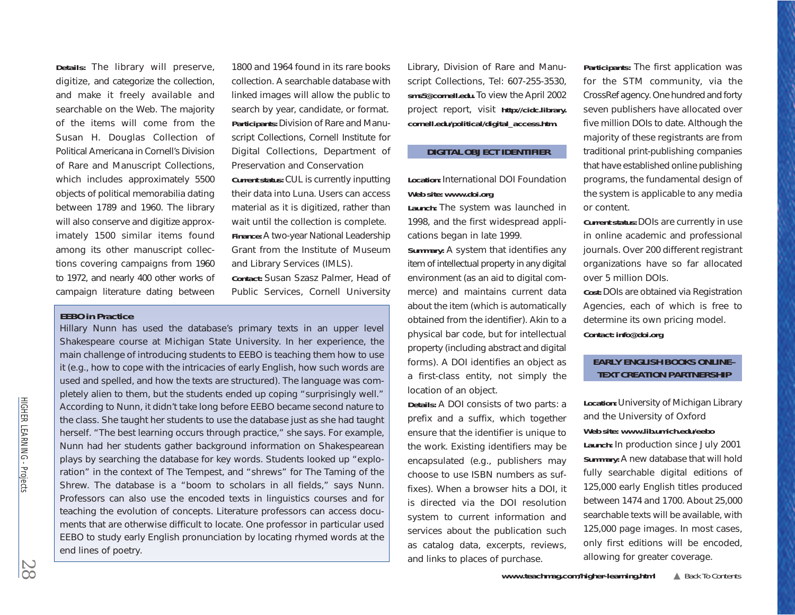**Details:** The library will preserve, digitize, and categorize the collection, and make it freely available and searchable on the Web. The majority of the items will come from the Susan H. Douglas Collection of Political Americana in Cornell's Division of Rare and Manuscript Collections, which includes approximately 5500 objects of political memorabilia dating between 1789 and 1960. The library will also conserve and digitize approximately 1500 similar items found among its other manuscript collections covering campaigns from 1960 to 1972, and nearly 400 other works of campaign literature dating between

1800 and 1964 found in its rare books collection. A searchable database with linked images will allow the public to search by year, candidate, or format. **Participants:** Division of Rare and Manuscript Collections, Cornell Institute for Digital Collections, Department of Preservation and Conservation **Current status:** CUL is currently inputting their data into Luna. Users can access material as it is digitized, rather than wait until the collection is complete. **Finance:** A two-year National Leadership Grant from the Institute of Museum and Library Services (IMLS).

**Contact:** Susan Szasz Palmer, Head of Public Services, Cornell University

## **EEBO in Practice**

Hillary Nunn has used the database's primary texts in an upper level Shakespeare course at Michigan State University. In her experience, the main challenge of introducing students to EEBO is teaching them how to use it (e.g., how to cope with the intricacies of early English, how such words are used and spelled, and how the texts are structured). The language was completely alien to them, but the students ended up coping "surprisingly well." According to Nunn, it didn't take long before EEBO became second nature to the class. She taught her students to use the database just as she had taught herself. "The best learning occurs through practice," she says. For example, Nunn had her students gather background information on Shakespearean plays by searching the database for key words. Students looked up "exploration" in the context of *The Tempest,* and "shrews" for *The Taming of the Shrew.* The database is a "boom to scholars in all fields," says Nunn. Professors can also use the encoded texts in linguistics courses and for teaching the evolution of concepts. Literature professors can access documents that are otherwise difficult to locate. One professor in particular used EEBO to study early English pronunciation by locating rhymed words at the end lines of poetry.

Library, Division of Rare and Manuscript Collections, Tel: 607-255-3530, *sms5@cornell.edu.* To view the April 2002 project report, visit *http://cidc.library. [cornell.edu/political/digital\\_access.htm.](http://cidc.library.cornell.edu/political/digital_access.htm)* 

#### **DIGITAL OBJECT IDENTIFIER**

**Location:** International DOI Foundation **Web site:** *<www.doi.org>*

**Launch:** The system was launched in 1998, and the first widespread applications began in late 1999.

**Summary:** A system that identifies any item of intellectual property in any digital environment (as an aid to digital commerce) and maintains current data about the item (which is automatically obtained from the identifier). Akin to a physical bar code, but for intellectual property (including abstract and digital forms). A DOI identifies an object as a first-class entity, not simply the location of an object.

**Details:** A DOI consists of two parts: a prefix and a suffix, which together ensure that the identifier is unique to the work. Existing identifiers may be encapsulated (e.g., publishers may choose to use ISBN numbers as suffixes). When a browser hits a DOI, it is directed via the DOI resolution system to current information and services about the publication such as catalog data, excerpts, reviews, and links to places of purchase.

**Participants:** The first application was for the STM community, via the CrossRef agency. One hundred and forty seven publishers have allocated over five million DOIs to date. Although the majority of these registrants are from traditional print-publishing companies that have established online publishing programs, the fundamental design of the system is applicable to any media or content.

**Current status:** DOIs are currently in use in online academic and professional journals. Over 200 different registrant organizations have so far allocated over 5 million DOIs.

**Cost:** DOIs are obtained via Registration Agencies, each of which is free to determine its own pricing model. **Contact:** *info@doi.org*

# **EARLY ENGLISH BOOKS ONLINE– TEXT CREATION PARTNERSHIP**

**Location:** University of Michigan Library and the University of Oxford **Web site:** *www.lib.umich.edu/eebo* **Launch:** [In](www.lib.umich.edu/eebo) [production](www.lib.umich.edu/eebo) [since](www.lib.umich.edu/eebo) [July](www.lib.umich.edu/eebo) [2](www.lib.umich.edu/eebo)001 **Summary:** A new database that will hold fully searchable digital editions of 125,000 early English titles produced between 1474 and 1700. About 25,000 searchable texts will be available, with 125,000 page images. In most cases, only first editions will be encoded, allowing for greater coverage.